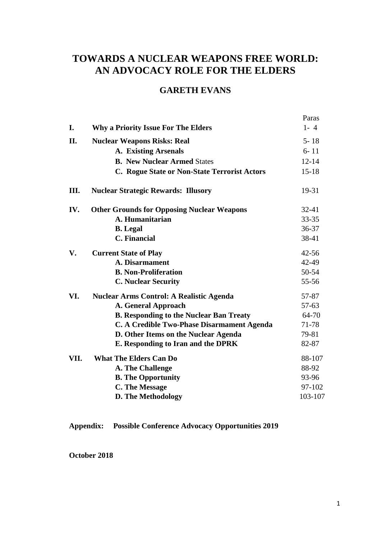# **TOWARDS A NUCLEAR WEAPONS FREE WORLD: AN ADVOCACY ROLE FOR THE ELDERS**

## **GARETH EVANS**

|      |                                                   | Paras     |
|------|---------------------------------------------------|-----------|
| I.   | <b>Why a Priority Issue For The Elders</b>        | $1 - 4$   |
| II.  | <b>Nuclear Weapons Risks: Real</b>                | $5 - 18$  |
|      | A. Existing Arsenals                              | $6 - 11$  |
|      | <b>B. New Nuclear Armed States</b>                | $12 - 14$ |
|      | C. Rogue State or Non-State Terrorist Actors      | $15 - 18$ |
| III. | <b>Nuclear Strategic Rewards: Illusory</b>        | 19-31     |
| IV.  | <b>Other Grounds for Opposing Nuclear Weapons</b> | $32 - 41$ |
|      | A. Humanitarian                                   | 33-35     |
|      | <b>B.</b> Legal                                   | 36-37     |
|      | <b>C.</b> Financial                               | 38-41     |
| V.   | <b>Current State of Play</b>                      | $42 - 56$ |
|      | <b>A. Disarmament</b>                             | 42-49     |
|      | <b>B. Non-Proliferation</b>                       | 50-54     |
|      | <b>C. Nuclear Security</b>                        | 55-56     |
| VI.  | <b>Nuclear Arms Control: A Realistic Agenda</b>   | 57-87     |
|      | A. General Approach                               | $57 - 63$ |
|      | <b>B. Responding to the Nuclear Ban Treaty</b>    | 64-70     |
|      | C. A Credible Two-Phase Disarmament Agenda        | 71-78     |
|      | D. Other Items on the Nuclear Agenda              | 79-81     |
|      | E. Responding to Iran and the DPRK                | 82-87     |
| VII. | <b>What The Elders Can Do</b>                     | 88-107    |
|      | A. The Challenge                                  | 88-92     |
|      | <b>B.</b> The Opportunity                         | 93-96     |
|      | <b>C. The Message</b>                             | 97-102    |
|      | D. The Methodology                                | 103-107   |

**Appendix: Possible Conference Advocacy Opportunities 2019**

**October 2018**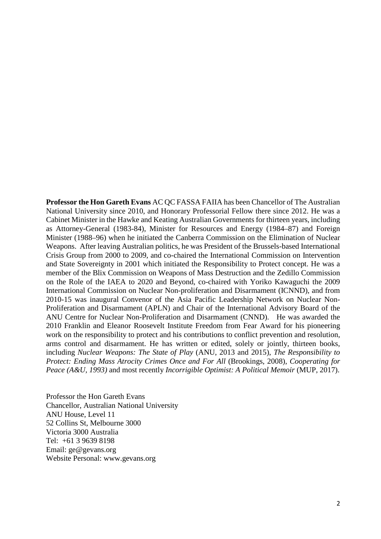**Professor the Hon Gareth Evans** AC QC FASSA FAIIA has been Chancellor of The Australian National University since 2010, and Honorary Professorial Fellow there since 2012. He was a Cabinet Minister in the Hawke and Keating Australian Governments for thirteen years, including as Attorney-General (1983-84), Minister for Resources and Energy (1984–87) and Foreign Minister (1988–96) when he initiated the Canberra Commission on the Elimination of Nuclear Weapons. After leaving Australian politics, he was President of the Brussels-based International Crisis Group from 2000 to 2009, and co-chaired the International Commission on Intervention and State Sovereignty in 2001 which initiated the Responsibility to Protect concept. He was a member of the Blix Commission on Weapons of Mass Destruction and the Zedillo Commission on the Role of the IAEA to 2020 and Beyond, co-chaired with Yoriko Kawaguchi the 2009 International Commission on Nuclear Non-proliferation and Disarmament (ICNND), and from 2010-15 was inaugural Convenor of the Asia Pacific Leadership Network on Nuclear Non-Proliferation and Disarmament (APLN) and Chair of the International Advisory Board of the ANU Centre for Nuclear Non-Proliferation and Disarmament (CNND). He was awarded the 2010 Franklin and Eleanor Roosevelt Institute Freedom from Fear Award for his pioneering work on the responsibility to protect and his contributions to conflict prevention and resolution, arms control and disarmament. He has written or edited, solely or jointly, thirteen books, including *Nuclear Weapons: The State of Play* (ANU, 2013 and 2015), *The Responsibility to Protect: Ending Mass Atrocity Crimes Once and For All (Brookings, 2008), Cooperating for Peace (A&U, 1993)* and most recently *Incorrigible Optimist: A Political Memoir* (MUP, 2017).

Professor the Hon Gareth Evans Chancellor, Australian National University ANU House, Level 11 52 Collins St, Melbourne 3000 Victoria 3000 Australia Tel: +61 3 9639 8198 Email: [ge@gevans.org](mailto:ge@gevans.org) Website Personal: [www.gevans.org](http://www.gevans.org/)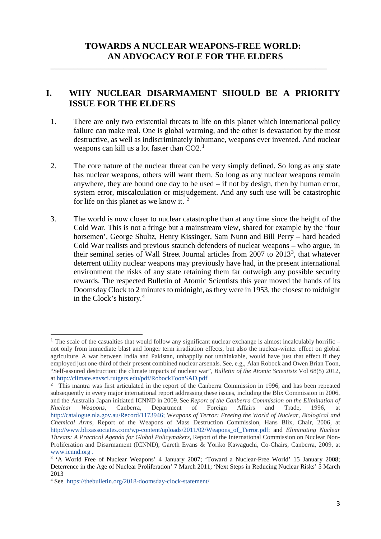**\_\_\_\_\_\_\_\_\_\_\_\_\_\_\_\_\_\_\_\_\_\_\_\_\_\_\_\_\_\_\_\_\_\_\_\_\_\_\_\_\_\_\_\_\_\_\_\_\_\_\_\_\_\_\_\_\_\_\_\_\_\_\_\_\_\_\_\_\_\_\_\_**

### **I. WHY NUCLEAR DISARMAMENT SHOULD BE A PRIORITY ISSUE FOR THE ELDERS**

- 1. There are only two existential threats to life on this planet which international policy failure can make real. One is global warming, and the other is devastation by the most destructive, as well as indiscriminately inhumane, weapons ever invented. And nuclear weapons can kill us a lot faster than  $CO2<sup>1</sup>$  $CO2<sup>1</sup>$  $CO2<sup>1</sup>$
- 2. The core nature of the nuclear threat can be very simply defined. So long as any state has nuclear weapons, others will want them. So long as any nuclear weapons remain anywhere, they are bound one day to be used – if not by design, then by human error, system error, miscalculation or misjudgement. And any such use will be catastrophic for life on this planet as we know it.  $2^2$  $2^2$
- 3. The world is now closer to nuclear catastrophe than at any time since the height of the Cold War. This is not a fringe but a mainstream view, shared for example by the 'four horsemen', George Shultz, Henry Kissinger, Sam Nunn and Bill Perry – hard headed Cold War realists and previous staunch defenders of nuclear weapons – who argue, in their seminal series of Wall Street Journal articles from 2007 to 201[3](#page-2-2)<sup>3</sup>, that whatever deterrent utility nuclear weapons may previously have had, in the present international environment the risks of any state retaining them far outweigh any possible security rewards. The respected Bulletin of Atomic Scientists this year moved the hands of its Doomsday Clock to 2 minutes to midnight, as they were in 1953, the closest to midnight in the Clock's history.[4](#page-2-3)

**.** 

<span id="page-2-0"></span><sup>1</sup> The scale of the casualties that would follow any significant nuclear exchange is almost incalculably horrific – not only from immediate blast and longer term irradiation effects, but also the nuclear-winter effect on global agriculture. A war between India and Pakistan, unhappily not unthinkable, would have just that effect if they employed just one-third of their present combined nuclear arsenals. See, e.g,, Alan Robock and Owen Brian Toon, "Self-assured destruction: the climate impacts of nuclear war", *Bulletin of the Atomic Scientists* Vol 68(5) 2012, at<http://climate.envsci.rutgers.edu/pdf/RobockToonSAD.pdf>

<span id="page-2-1"></span><sup>2</sup> This mantra was first articulated in the report of the Canberra Commission in 1996, and has been repeated subsequently in every major international report addressing these issues, including the Blix Commission in 2006, and the Australia-Japan initiated ICNND in 2009. See *Report of the Canberra Commission on the Elimination of Nuclear Weapons,* Canberra, Department of Foreign Affairs and Trade, 1996, at [http://catalogue.nla.gov.au/Record/1173946;](http://catalogue.nla.gov.au/Record/1173946) W*eapons of Terror: Freeing the World of Nuclear, Biological and Chemical Arms*, Report of the Weapons of Mass Destruction Commission, Hans Blix, Chair, 2006, at [http://www.blixassociates.com/wp-content/uploads/2011/02/Weapons\\_of\\_Terror.pdf;](http://www.blixassociates.com/wp-content/uploads/2011/02/Weapons_of_Terror.pdf) and *Eliminating Nuclear Threats: A Practical Agenda for Global Policymakers*, Report of the International Commission on Nuclear Non-Proliferation and Disarmament (ICNND), Gareth Evans & Yoriko Kawaguchi, Co-Chairs, Canberra, 2009, at www[.](http://www.icnnd.org/)icnnd.org .<br><sup>3</sup> 'A World Free of Nuclear Weapons' 4 January 2007: 'Toward a Nuclear-Free World' 15 January 2008;

<span id="page-2-2"></span>Deterrence in the Age of Nuclear Proliferation' 7 March 2011; 'Next Steps in Reducing Nuclear Risks' 5 March 2013

<span id="page-2-3"></span><sup>4</sup> See <https://thebulletin.org/2018-doomsday-clock-statement/>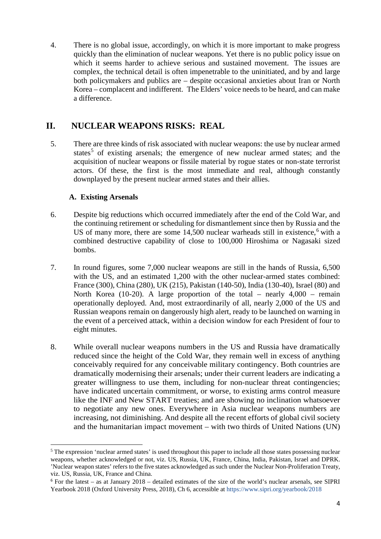4. There is no global issue, accordingly, on which it is more important to make progress quickly than the elimination of nuclear weapons. Yet there is no public policy issue on which it seems harder to achieve serious and sustained movement. The issues are complex, the technical detail is often impenetrable to the uninitiated, and by and large both policymakers and publics are – despite occasional anxieties about Iran or North Korea – complacent and indifferent. The Elders' voice needs to be heard, and can make a difference.

### **II. NUCLEAR WEAPONS RISKS: REAL**

5. There are three kinds of risk associated with nuclear weapons: the use by nuclear armed states<sup>[5](#page-3-0)</sup> of existing arsenals; the emergence of new nuclear armed states; and the acquisition of nuclear weapons or fissile material by rogue states or non-state terrorist actors. Of these, the first is the most immediate and real, although constantly downplayed by the present nuclear armed states and their allies.

#### **A. Existing Arsenals**

 $\overline{a}$ 

- 6. Despite big reductions which occurred immediately after the end of the Cold War, and the continuing retirement or scheduling for dismantlement since then by Russia and the US of many more, there are some  $14,500$  nuclear warheads still in existence,<sup>[6](#page-3-1)</sup> with a combined destructive capability of close to 100,000 Hiroshima or Nagasaki sized bombs.
- 7. In round figures, some 7,000 nuclear weapons are still in the hands of Russia, 6,500 with the US, and an estimated 1,200 with the other nuclear-armed states combined: France (300), China (280), UK (215), Pakistan (140-50), India (130-40), Israel (80) and North Korea (10-20). A large proportion of the total – nearly 4,000 – remain operationally deployed. And, most extraordinarily of all, nearly 2,000 of the US and Russian weapons remain on dangerously high alert, ready to be launched on warning in the event of a perceived attack, within a decision window for each President of four to eight minutes.
- 8. While overall nuclear weapons numbers in the US and Russia have dramatically reduced since the height of the Cold War, they remain well in excess of anything conceivably required for any conceivable military contingency. Both countries are dramatically modernising their arsenals; under their current leaders are indicating a greater willingness to use them, including for non-nuclear threat contingencies; have indicated uncertain commitment, or worse, to existing arms control measure like the INF and New START treaties; and are showing no inclination whatsoever to negotiate any new ones. Everywhere in Asia nuclear weapons numbers are increasing, not diminishing. And despite all the recent efforts of global civil society and the humanitarian impact movement – with two thirds of United Nations (UN)

<span id="page-3-0"></span><sup>&</sup>lt;sup>5</sup> The expression 'nuclear armed states' is used throughout this paper to include all those states possessing nuclear weapons, whether acknowledged or not, viz. US, Russia, UK, France, China, India, Pakistan, Israel and DPRK. 'Nuclear weapon states' refers to the five states acknowledged as such under the Nuclear Non-Proliferation Treaty, viz. US, Russia, UK, France and China.

<span id="page-3-1"></span> $6$  For the latest – as at January 2018 – detailed estimates of the size of the world's nuclear arsenals, see SIPRI Yearbook 2018 (Oxford University Press, 2018), Ch 6, accessible at<https://www.sipri.org/yearbook/2018>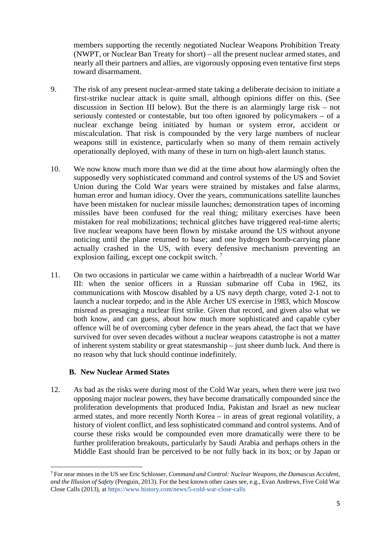members supporting the recently negotiated Nuclear Weapons Prohibition Treaty (NWPT, or Nuclear Ban Treaty for short) – all the present nuclear armed states, and nearly all their partners and allies, are vigorously opposing even tentative first steps toward disarmament.

- 9. The risk of any present nuclear-armed state taking a deliberate decision to initiate a first-strike nuclear attack is quite small, although opinions differ on this. (See discussion in Section III below). But the there is an alarmingly large risk – not seriously contested or contestable, but too often ignored by policymakers – of a nuclear exchange being initiated by human or system error, accident or miscalculation. That risk is compounded by the very large numbers of nuclear weapons still in existence, particularly when so many of them remain actively operationally deployed, with many of these in turn on high-alert launch status.
- 10. We now know much more than we did at the time about how alarmingly often the supposedly very sophisticated command and control systems of the US and Soviet Union during the Cold War years were strained by mistakes and false alarms, human error and human idiocy. Over the years, communications satellite launches have been mistaken for nuclear missile launches; demonstration tapes of incoming missiles have been confused for the real thing; military exercises have been mistaken for real mobilizations; technical glitches have triggered real-time alerts; live nuclear weapons have been flown by mistake around the US without anyone noticing until the plane returned to base; and one hydrogen bomb-carrying plane actually crashed in the US, with every defensive mechanism preventing an explosion failing, except one cockpit switch.<sup>[7](#page-4-0)</sup>
- 11. On two occasions in particular we came within a hairbreadth of a nuclear World War III: when the senior officers in a Russian submarine off Cuba in 1962, its communications with Moscow disabled by a US navy depth charge, voted 2-1 not to launch a nuclear torpedo; and in the Able Archer US exercise in 1983, which Moscow misread as presaging a nuclear first strike. Given that record, and given also what we both know, and can guess, about how much more sophisticated and capable cyber offence will be of overcoming cyber defence in the years ahead, the fact that we have survived for over seven decades without a nuclear weapons catastrophe is not a matter of inherent system stability or great statesmanship – just sheer dumb luck. And there is no reason why that luck should continue indefinitely.

#### **B. New Nuclear Armed States**

12. As bad as the risks were during most of the Cold War years, when there were just two opposing major nuclear powers, they have become dramatically compounded since the proliferation developments that produced India, Pakistan and Israel as new nuclear armed states, and more recently North Korea – in areas of great regional volatility, a history of violent conflict, and less sophisticated command and control systems. And of course these risks would be compounded even more dramatically were there to be further proliferation breakouts, particularly by Saudi Arabia and perhaps others in the Middle East should Iran be perceived to be not fully back in its box; or by Japan or

<span id="page-4-0"></span> <sup>7</sup> For near misses in the US see Eric Schlosser, *Command and Control: Nuclear Weapons, the Damascus Accident, and the Illusion of Safety* (Penguin, 2013). For the best known other cases see, e.g., Evan Andrews, Five Cold War Close Calls (2013), at<https://www.history.com/news/5-cold-war-close-calls>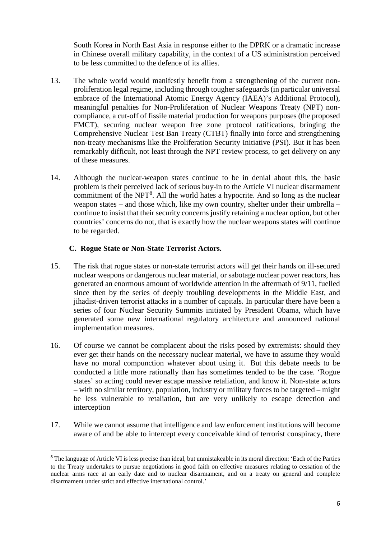South Korea in North East Asia in response either to the DPRK or a dramatic increase in Chinese overall military capability, in the context of a US administration perceived to be less committed to the defence of its allies.

- 13. The whole world would manifestly benefit from a strengthening of the current nonproliferation legal regime, including through tougher safeguards (in particular universal embrace of the International Atomic Energy Agency (IAEA)'s Additional Protocol), meaningful penalties for Non-Proliferation of Nuclear Weapons Treaty (NPT) noncompliance, a cut-off of fissile material production for weapons purposes (the proposed FMCT), securing nuclear weapon free zone protocol ratifications, bringing the Comprehensive Nuclear Test Ban Treaty (CTBT) finally into force and strengthening non-treaty mechanisms like the Proliferation Security Initiative (PSI). But it has been remarkably difficult, not least through the NPT review process, to get delivery on any of these measures.
- 14. Although the nuclear-weapon states continue to be in denial about this, the basic problem is their perceived lack of serious buy-in to the Article VI nuclear disarmament commitment of the NPT<sup>[8](#page-5-0)</sup>. All the world hates a hypocrite. And so long as the nuclear weapon states – and those which, like my own country, shelter under their umbrella – continue to insist that their security concerns justify retaining a nuclear option, but other countries' concerns do not, that is exactly how the nuclear weapons states will continue to be regarded.

#### **C. Rogue State or Non-State Terrorist Actors.**

- 15. The risk that rogue states or non-state terrorist actors will get their hands on ill-secured nuclear weapons or dangerous nuclear material, or sabotage nuclear power reactors, has generated an enormous amount of worldwide attention in the aftermath of 9/11, fuelled since then by the series of deeply troubling developments in the Middle East, and jihadist-driven terrorist attacks in a number of capitals. In particular there have been a series of four Nuclear Security Summits initiated by President Obama, which have generated some new international regulatory architecture and announced national implementation measures.
- 16. Of course we cannot be complacent about the risks posed by extremists: should they ever get their hands on the necessary nuclear material, we have to assume they would have no moral compunction whatever about using it. But this debate needs to be conducted a little more rationally than has sometimes tended to be the case. 'Rogue states' so acting could never escape massive retaliation, and know it. Non-state actors – with no similar territory, population, industry or military forces to be targeted – might be less vulnerable to retaliation, but are very unlikely to escape detection and interception
- 17. While we cannot assume that intelligence and law enforcement institutions will become aware of and be able to intercept every conceivable kind of terrorist conspiracy, there

<span id="page-5-0"></span><sup>&</sup>lt;sup>8</sup> The language of Article VI is less precise than ideal, but unmistakeable in its moral direction: 'Each of the Parties to the Treaty undertakes to pursue negotiations in good faith on effective measures relating to cessation of the nuclear arms race at an early date and to nuclear disarmament, and on a treaty on general and complete disarmament under strict and effective international control.'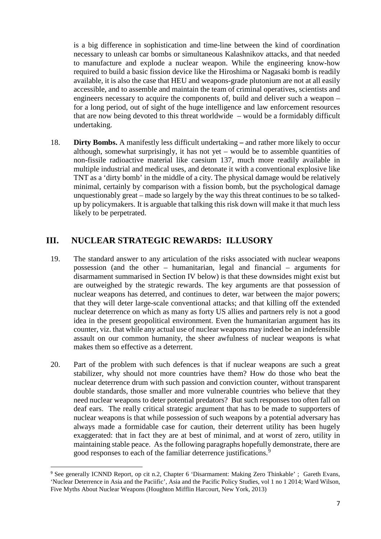is a big difference in sophistication and time-line between the kind of coordination necessary to unleash car bombs or simultaneous Kalashnikov attacks, and that needed to manufacture and explode a nuclear weapon. While the engineering know-how required to build a basic fission device like the Hiroshima or Nagasaki bomb is readily available, it is also the case that HEU and weapons-grade plutonium are not at all easily accessible, and to assemble and maintain the team of criminal operatives, scientists and engineers necessary to acquire the components of, build and deliver such a weapon – for a long period, out of sight of the huge intelligence and law enforcement resources that are now being devoted to this threat worldwide – would be a formidably difficult undertaking.

18. **Dirty Bombs.** A manifestly less difficult undertaking **–** and rather more likely to occur although, somewhat surprisingly, it has not yet – would be to assemble quantities of non-fissile radioactive material like caesium 137, much more readily available in multiple industrial and medical uses, and detonate it with a conventional explosive like TNT as a 'dirty bomb' in the middle of a city. The physical damage would be relatively minimal, certainly by comparison with a fission bomb, but the psychological damage unquestionably great – made so largely by the way this threat continues to be so talkedup by policymakers. It is arguable that talking this risk down will make it that much less likely to be perpetrated.

### **III. NUCLEAR STRATEGIC REWARDS: ILLUSORY**

- 19. The standard answer to any articulation of the risks associated with nuclear weapons possession (and the other – humanitarian, legal and financial – arguments for disarmament summarised in Section IV below) is that these downsides might exist but are outweighed by the strategic rewards. The key arguments are that possession of nuclear weapons has deterred, and continues to deter, war between the major powers; that they will deter large-scale conventional attacks; and that killing off the extended nuclear deterrence on which as many as forty US allies and partners rely is not a good idea in the present geopolitical environment. Even the humanitarian argument has its counter, viz. that while any actual use of nuclear weapons may indeed be an indefensible assault on our common humanity, the sheer awfulness of nuclear weapons is what makes them so effective as a deterrent.
- 20. Part of the problem with such defences is that if nuclear weapons are such a great stabilizer, why should not more countries have them? How do those who beat the nuclear deterrence drum with such passion and conviction counter, without transparent double standards, those smaller and more vulnerable countries who believe that they need nuclear weapons to deter potential predators? But such responses too often fall on deaf ears. The really critical strategic argument that has to be made to supporters of nuclear weapons is that while possession of such weapons by a potential adversary has always made a formidable case for caution, their deterrent utility has been hugely exaggerated: that in fact they are at best of minimal, and at worst of zero, utility in maintaining stable peace. As the following paragraphs hopefully demonstrate, there are good responses to each of the familiar deterrence justifications.<sup>[9](#page-6-0)</sup>

<span id="page-6-0"></span> <sup>9</sup> See generally ICNND Report, op cit n.2, Chapter 6 'Disarmament: Making Zero Thinkable' ; Gareth Evans, 'Nuclear Deterrence in Asia and the Paciific', Asia and the Pacific Policy Studies, vol 1 no 1 2014; Ward Wilson, Five Myths About Nuclear Weapons (Houghton Mifflin Harcourt, New York, 2013)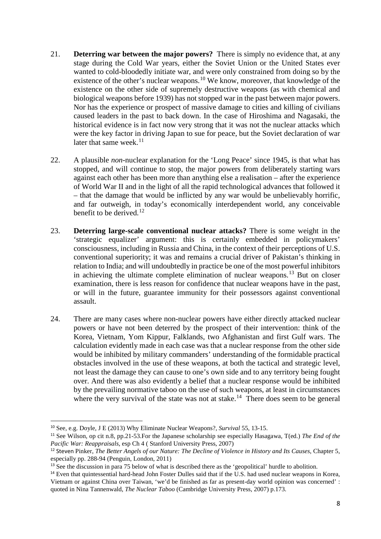- 21. **Deterring war between the major powers?** There is simply no evidence that, at any stage during the Cold War years, either the Soviet Union or the United States ever wanted to cold-bloodedly initiate war, and were only constrained from doing so by the existence of the other's nuclear weapons.<sup>[10](#page-7-0)</sup> We know, moreover, that knowledge of the existence on the other side of supremely destructive weapons (as with chemical and biological weapons before 1939) has not stopped war in the past between major powers. Nor has the experience or prospect of massive damage to cities and killing of civilians caused leaders in the past to back down. In the case of Hiroshima and Nagasaki, the historical evidence is in fact now very strong that it was not the nuclear attacks which were the key factor in driving Japan to sue for peace, but the Soviet declaration of war later that same week.<sup>[11](#page-7-1)</sup>
- 22. A plausible *non-*nuclear explanation for the 'Long Peace' since 1945, is that what has stopped, and will continue to stop, the major powers from deliberately starting wars against each other has been more than anything else a realisation – after the experience of World War II and in the light of all the rapid technological advances that followed it – that the damage that would be inflicted by any war would be unbelievably horrific, and far outweigh, in today's economically interdependent world, any conceivable benefit to be derived.<sup>[12](#page-7-2)</sup>
- 23. **Deterring large-scale conventional nuclear attacks?** There is some weight in the 'strategic equalizer' argument: this is certainly embedded in policymakers' consciousness, including in Russia and China, in the context of their perceptions of U.S. conventional superiority; it was and remains a crucial driver of Pakistan's thinking in relation to India; and will undoubtedly in practice be one of the most powerful inhibitors in achieving the ultimate complete elimination of nuclear weapons.<sup>[13](#page-7-3)</sup> But on closer examination, there is less reason for confidence that nuclear weapons have in the past, or will in the future, guarantee immunity for their possessors against conventional assault.
- 24. There are many cases where non-nuclear powers have either directly attacked nuclear powers or have not been deterred by the prospect of their intervention: think of the Korea, Vietnam, Yom Kippur, Falklands, two Afghanistan and first Gulf wars. The calculation evidently made in each case was that a nuclear response from the other side would be inhibited by military commanders' understanding of the formidable practical obstacles involved in the use of these weapons, at both the tactical and strategic level, not least the damage they can cause to one's own side and to any territory being fought over. And there was also evidently a belief that a nuclear response would be inhibited by the prevailing normative taboo on the use of such weapons, at least in circumstances where the very survival of the state was not at stake.<sup>14</sup> There does seem to be general

 <sup>10</sup> See, e.g. Doyle, J E (2013) Why Eliminate Nuclear Weapons?, *Survival* 55, 13-15.

<span id="page-7-1"></span><span id="page-7-0"></span><sup>11</sup> See Wilson, op cit n.8, pp.21-53.For the Japanese scholarship see especially Hasagawa, T(ed.) *The End of the Pacific War: Reappraisals*, esp Ch 4 ( Stanford University Press, 2007)

<span id="page-7-2"></span><sup>12</sup> Steven Pinker, *The Better Angels of our Nature: The Decline of Violence in History and Its Causes*, Chapter 5, especially pp. 288-94 (Penguin, London, 2011)

<span id="page-7-3"></span><sup>&</sup>lt;sup>13</sup> See the discussion in para 75 below of what is described there as the 'geopolitical' hurdle to abolition.

<span id="page-7-4"></span><sup>&</sup>lt;sup>14</sup> Even that quintessential hard-head John Foster Dulles said that if the U.S. had used nuclear weapons in Korea, Vietnam or against China over Taiwan, 'we'd be finished as far as present-day world opinion was concerned' : quoted in Nina Tannenwald, *The Nuclear Taboo* (Cambridge University Press, 2007) p.173.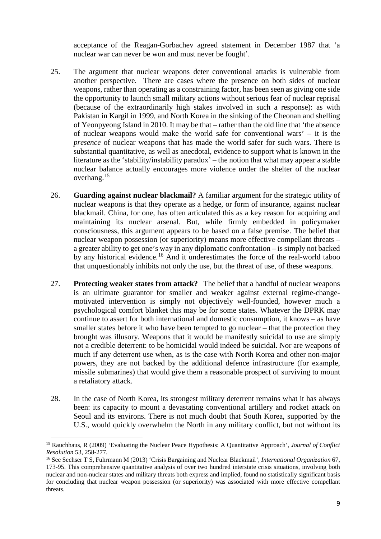acceptance of the Reagan-Gorbachev agreed statement in December 1987 that 'a nuclear war can never be won and must never be fought'.

- 25. The argument that nuclear weapons deter conventional attacks is vulnerable from another perspective. There are cases where the presence on both sides of nuclear weapons, rather than operating as a constraining factor*,* has been seen as giving one side the opportunity to launch small military actions without serious fear of nuclear reprisal (because of the extraordinarily high stakes involved in such a response): as with Pakistan in Kargil in 1999, and North Korea in the sinking of the Cheonan and shelling of Yeonpyeong Island in 2010. It may be that – rather than the old line that 'the absence of nuclear weapons would make the world safe for conventional wars' – it is the *presence* of nuclear weapons that has made the world safer for such wars. There is substantial quantitative, as well as anecdotal, evidence to support what is known in the literature as the 'stability/instability paradox' – the notion that what may appear a stable nuclear balance actually encourages more violence under the shelter of the nuclear overhang.<sup>[15](#page-8-0)</sup>
- 26. **Guarding against nuclear blackmail?** A familiar argument for the strategic utility of nuclear weapons is that they operate as a hedge, or form of insurance, against nuclear blackmail. China, for one, has often articulated this as a key reason for acquiring and maintaining its nuclear arsenal. But, while firmly embedded in policymaker consciousness, this argument appears to be based on a false premise. The belief that nuclear weapon possession (or superiority) means more effective compellant threats – a greater ability to get one's way in any diplomatic confrontation – is simply not backed by any historical evidence.<sup>[16](#page-8-1)</sup> And it underestimates the force of the real-world taboo that unquestionably inhibits not only the use, but the threat of use, of these weapons.
- 27. **Protecting weaker states from attack?** The belief that a handful of nuclear weapons is an ultimate guarantor for smaller and weaker against external regime-changemotivated intervention is simply not objectively well-founded, however much a psychological comfort blanket this may be for some states. Whatever the DPRK may continue to assert for both international and domestic consumption, it knows – as have smaller states before it who have been tempted to go nuclear – that the protection they brought was illusory. Weapons that it would be manifestly suicidal to use are simply not a credible deterrent: to be homicidal would indeed be suicidal. Nor are weapons of much if any deterrent use when, as is the case with North Korea and other non-major powers, they are not backed by the additional defence infrastructure (for example, missile submarines) that would give them a reasonable prospect of surviving to mount a retaliatory attack.
- 28. In the case of North Korea, its strongest military deterrent remains what it has always been: its capacity to mount a devastating conventional artillery and rocket attack on Seoul and its environs. There is not much doubt that South Korea, supported by the U.S., would quickly overwhelm the North in any military conflict, but not without its

**.** 

<span id="page-8-0"></span><sup>15</sup> Rauchhaus, R (2009) 'Evaluating the Nuclear Peace Hypothesis: A Quantitative Approach', *Journal of Conflict Resolution* 53, 258-277.

<span id="page-8-1"></span><sup>16</sup> See Sechser T S, Fuhrmann M (2013) 'Crisis Bargaining and Nuclear Blackmail', *International Organization* 67, 173-95. This comprehensive quantitative analysis of over two hundred interstate crisis situations, involving both nuclear and non-nuclear states and military threats both express and implied, found no statistically significant basis for concluding that nuclear weapon possession (or superiority) was associated with more effective compellant threats.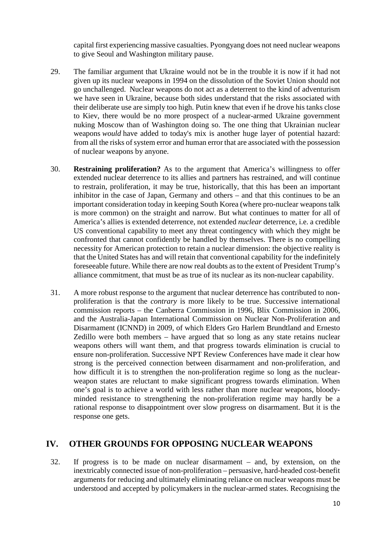capital first experiencing massive casualties. Pyongyang does not need nuclear weapons to give Seoul and Washington military pause.

- 29. The familiar argument that Ukraine would not be in the trouble it is now if it had not given up its nuclear weapons in 1994 on the dissolution of the Soviet Union should not go unchallenged. Nuclear weapons do not act as a deterrent to the kind of adventurism we have seen in Ukraine, because both sides understand that the risks associated with their deliberate use are simply too high. Putin knew that even if he drove his tanks close to Kiev, there would be no more prospect of a nuclear-armed Ukraine government nuking Moscow than of Washington doing so. The one thing that Ukrainian nuclear weapons *would* have added to today's mix is another huge layer of potential hazard: from all the risks of system error and human error that are associated with the possession of nuclear weapons by anyone.
- 30. **Restraining proliferation?** As to the argument that America's willingness to offer extended nuclear deterrence to its allies and partners has restrained, and will continue to restrain, proliferation, it may be true, historically, that this has been an important inhibitor in the case of Japan, Germany and others – and that this continues to be an important consideration today in keeping South Korea (where pro-nuclear weapons talk is more common) on the straight and narrow. But what continues to matter for all of America's allies is extended deterrence, not extended *nuclear* deterrence, i.e. a credible US conventional capability to meet any threat contingency with which they might be confronted that cannot confidently be handled by themselves. There is no compelling necessity for American protection to retain a nuclear dimension: the objective reality is that the United States has and will retain that conventional capability for the indefinitely foreseeable future. While there are now real doubts as to the extent of President Trump's alliance commitment, that must be as true of its nuclear as its non-nuclear capability.
- 31. A more robust response to the argument that nuclear deterrence has contributed to nonproliferation is that the *contrary* is more likely to be true. Successive international commission reports – the Canberra Commission in 1996, Blix Commission in 2006, and the Australia-Japan International Commission on Nuclear Non-Proliferation and Disarmament (ICNND) in 2009, of which Elders Gro Harlem Brundtland and Ernesto Zedillo were both members – have argued that so long as any state retains nuclear weapons others will want them, and that progress towards elimination is crucial to ensure non-proliferation. Successive NPT Review Conferences have made it clear how strong is the perceived connection between disarmament and non-proliferation, and how difficult it is to strengthen the non-proliferation regime so long as the nuclearweapon states are reluctant to make significant progress towards elimination. When one's goal is to achieve a world with less rather than more nuclear weapons, bloodyminded resistance to strengthening the non-proliferation regime may hardly be a rational response to disappointment over slow progress on disarmament. But it is the response one gets.

#### **IV. OTHER GROUNDS FOR OPPOSING NUCLEAR WEAPONS**

32. If progress is to be made on nuclear disarmament – and, by extension, on the inextricably connected issue of non-proliferation – persuasive, hard-headed cost-benefit arguments for reducing and ultimately eliminating reliance on nuclear weapons must be understood and accepted by policymakers in the nuclear-armed states. Recognising the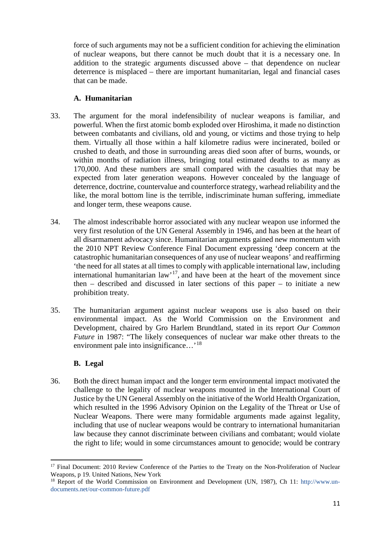force of such arguments may not be a sufficient condition for achieving the elimination of nuclear weapons, but there cannot be much doubt that it is a necessary one. In addition to the strategic arguments discussed above – that dependence on nuclear deterrence is misplaced – there are important humanitarian, legal and financial cases that can be made.

#### **A. Humanitarian**

- 33. The argument for the moral indefensibility of nuclear weapons is familiar, and powerful. When the first atomic bomb exploded over Hiroshima, it made no distinction between combatants and civilians, old and young, or victims and those trying to help them. Virtually all those within a half kilometre radius were incinerated, boiled or crushed to death, and those in surrounding areas died soon after of burns, wounds, or within months of radiation illness, bringing total estimated deaths to as many as 170,000. And these numbers are small compared with the casualties that may be expected from later generation weapons. However concealed by the language of deterrence, doctrine, countervalue and counterforce strategy, warhead reliability and the like, the moral bottom line is the terrible, indiscriminate human suffering, immediate and longer term, these weapons cause.
- 34. The almost indescribable horror associated with any nuclear weapon use informed the very first resolution of the UN General Assembly in 1946, and has been at the heart of all disarmament advocacy since. Humanitarian arguments gained new momentum with the 2010 NPT Review Conference Final Document expressing 'deep concern at the catastrophic humanitarian consequences of any use of nuclear weapons' and reaffirming 'the need for all states at all times to comply with applicable international law, including international humanitarian law'[17,](#page-10-0) and have been at the heart of the movement since then – described and discussed in later sections of this paper – to initiate a new prohibition treaty.
- 35. The humanitarian argument against nuclear weapons use is also based on their environmental impact. As the World Commission on the Environment and Development, chaired by Gro Harlem Brundtland, stated in its report *Our Common Future* in 1987: "The likely consequences of nuclear war make other threats to the environment pale into insignificance...<sup>'[18](#page-10-1)</sup>

#### **B. Legal**

<u>.</u>

36. Both the direct human impact and the longer term environmental impact motivated the challenge to the legality of nuclear weapons mounted in the International Court of Justice by the UN General Assembly on the initiative of the World Health Organization, which resulted in the 1996 Advisory Opinion on the Legality of the Threat or Use of Nuclear Weapons. There were many formidable arguments made against legality, including that use of nuclear weapons would be contrary to international humanitarian law because they cannot discriminate between civilians and combatant; would violate the right to life; would in some circumstances amount to genocide; would be contrary

<span id="page-10-0"></span><sup>&</sup>lt;sup>17</sup> Final Document: 2010 Review Conference of the Parties to the Treaty on the Non-Proliferation of Nuclear Weapons, p 19. United Nations, New York

<span id="page-10-1"></span><sup>&</sup>lt;sup>18</sup> Report of the World Commission on Environment and Development (UN, 1987), Ch 11: [http://www.un](http://www.un-documents.net/our-common-future.pdf)[documents.net/our-common-future.pdf](http://www.un-documents.net/our-common-future.pdf)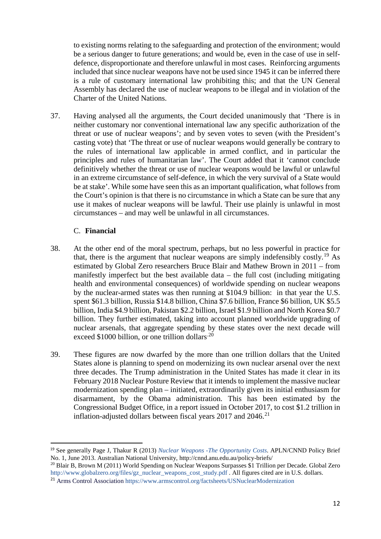to existing norms relating to the safeguarding and protection of the environment; would be a serious danger to future generations; and would be, even in the case of use in selfdefence, disproportionate and therefore unlawful in most cases. Reinforcing arguments included that since nuclear weapons have not be used since 1945 it can be inferred there is a rule of customary international law prohibiting this; and that the UN General Assembly has declared the use of nuclear weapons to be illegal and in violation of the Charter of the United Nations.

37. Having analysed all the arguments, the Court decided unanimously that 'There is in neither customary nor conventional international law any specific authorization of the threat or use of nuclear weapons'; and by seven votes to seven (with the President's casting vote) that 'The threat or use of nuclear weapons would generally be contrary to the rules of international law applicable in armed conflict, and in particular the principles and rules of humanitarian law'. The Court added that it 'cannot conclude definitively whether the threat or use of nuclear weapons would be lawful or unlawful in an extreme circumstance of self-defence, in which the very survival of a State would be at stake'. While some have seen this as an important qualification, what follows from the Court's opinion is that there is no circumstance in which a State can be sure that any use it makes of nuclear weapons will be lawful. Their use plainly is unlawful in most circumstances – and may well be unlawful in all circumstances.

#### C. **Financial**

- 38. At the other end of the moral spectrum, perhaps, but no less powerful in practice for that, there is the argument that nuclear weapons are simply indefensibly costly.<sup>[19](#page-11-0)</sup> As estimated by Global Zero researchers Bruce Blair and Mathew Brown in 2011 – from manifestly imperfect but the best available data – the full cost (including mitigating health and environmental consequences) of worldwide spending on nuclear weapons by the nuclear-armed states was then running at \$104.9 billion: in that year the U.S. spent \$61.3 billion, Russia \$14.8 billion, China \$7.6 billion, France \$6 billion, UK \$5.5 billion, India \$4.9 billion, Pakistan \$2.2 billion, Israel \$1.9 billion and North Korea \$0.7 billion. They further estimated, taking into account planned worldwide upgrading of nuclear arsenals, that aggregate spending by these states over the next decade will exceed \$1000 billion, or one trillion dollars.<sup>[20](#page-11-1)</sup>
- 39. These figures are now dwarfed by the more than one trillion dollars that the United States alone is planning to spend on modernizing its own nuclear arsenal over the next three decades. The Trump administration in the United States has made it clear in its February 2018 Nuclear Posture Review that it intends to implement the massive nuclear modernization spending plan – initiated, extraordinarily given its initial enthusiasm for disarmament, by the Obama administration. This has been estimated by the Congressional Budget Office, in a report issued in October 2017, to cost \$1.2 trillion in inflation-adjusted dollars between fiscal years  $2017$  and  $2046$ <sup>[21](#page-11-2)</sup>

<span id="page-11-0"></span> <sup>19</sup> See generally Page J, Thakur R (2013) *[Nuclear Weapons -The Opportunity Costs](http://cnnd.anu.edu.au/files/2013/policy-briefs/Policy_Brief_No._1_-_Nuclear_Weapons_-_The_Opportunity_Costs.pdf)*. APLN/CNND Policy Brief No. 1, June 2013. Australian National University, http://cnnd.anu.edu.au/policy-briefs/

<span id="page-11-1"></span><sup>20</sup> Blair B, Brown M (2011) World Spending on Nuclear Weapons Surpasses \$1 Trillion per Decade. Global Zero [http://www.globalzero.org/files/gz\\_nuclear\\_weapons\\_cost\\_study.pdf](http://www.globalzero.org/files/gz_nuclear_weapons_cost_study.pdf) . All figures cited are in U.S. dollars.

<span id="page-11-2"></span><sup>&</sup>lt;sup>21</sup> Arms Control Association <https://www.armscontrol.org/factsheets/USNuclearModernization>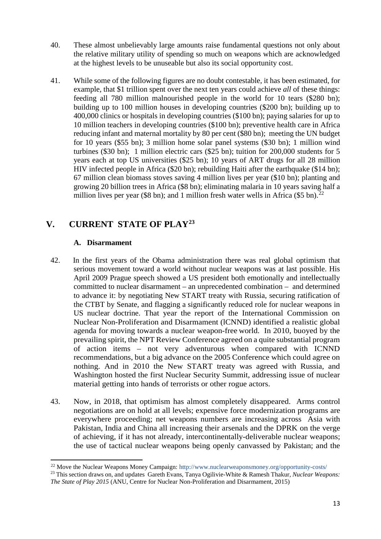- 40. These almost unbelievably large amounts raise fundamental questions not only about the relative military utility of spending so much on weapons which are acknowledged at the highest levels to be unuseable but also its social opportunity cost.
- 41. While some of the following figures are no doubt contestable, it has been estimated, for example, that \$1 trillion spent over the next ten years could achieve *all* of these things: feeding all 780 million malnourished people in the world for 10 tears (\$280 bn); building up to 100 million houses in developing countries (\$200 bn); building up to 400,000 clinics or hospitals in developing countries (\$100 bn); paying salaries for up to 10 million teachers in developing countries (\$100 bn); preventive health care in Africa reducing infant and maternal mortality by 80 per cent (\$80 bn); meeting the UN budget for 10 years (\$55 bn); 3 million home solar panel systems (\$30 bn); 1 million wind turbines (\$30 bn); 1 million electric cars (\$25 bn); tuition for 200,000 students for 5 years each at top US universities (\$25 bn); 10 years of ART drugs for all 28 million HIV infected people in Africa (\$20 bn); rebuilding Haiti after the earthquake (\$14 bn); 67 million clean biomass stoves saving 4 million lives per year (\$10 bn); planting and growing 20 billion trees in Africa (\$8 bn); eliminating malaria in 10 years saving half a million lives per year (\$8 bn); and 1 million fresh water wells in Africa (\$5 bn).<sup>[22](#page-12-0)</sup>

### **V. CURRENT STATE OF PLAY[23](#page-12-1)**

#### **A. Disarmament**

<u>.</u>

- 42. In the first years of the Obama administration there was real global optimism that serious movement toward a world without nuclear weapons was at last possible. His April 2009 Prague speech showed a US president both emotionally and intellectually committed to nuclear disarmament – an unprecedented combination – and determined to advance it: by negotiating New START treaty with Russia, securing ratification of the CTBT by Senate, and flagging a significantly reduced role for nuclear weapons in US nuclear doctrine. That year the report of the International Commission on Nuclear Non-Proliferation and Disarmament (lCNND) identified a realistic global agenda for moving towards a nuclear weapon-free world. In 2010, buoyed by the prevailing spirit, the NPT Review Conference agreed on a quite substantial program of action items – not very adventurous when compared with ICNND recommendations, but a big advance on the 2005 Conference which could agree on nothing. And in 2010 the New START treaty was agreed with Russia, and Washington hosted the first Nuclear Security Summit, addressing issue of nuclear material getting into hands of terrorists or other rogue actors.
- 43. Now, in 2018, that optimism has almost completely disappeared. Arms control negotiations are on hold at all levels; expensive force modernization programs are everywhere proceeding; net weapons numbers are increasing across Asia with Pakistan, India and China all increasing their arsenals and the DPRK on the verge of achieving, if it has not already, intercontinentally-deliverable nuclear weapons; the use of tactical nuclear weapons being openly canvassed by Pakistan; and the

<sup>&</sup>lt;sup>22</sup> Move the Nuclear Weapons Money Campaign:<http://www.nuclearweaponsmoney.org/opportunity-costs/>

<span id="page-12-1"></span><span id="page-12-0"></span><sup>23</sup> This section draws on, and updates Gareth Evans, Tanya Ogilivie-White & Ramesh Thakur, *Nuclear Weapons: The State of Play 2015* (ANU, Centre for Nuclear Non-Proliferation and Disarmament, 2015)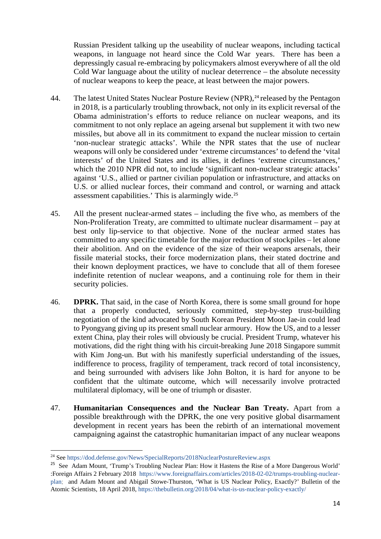Russian President talking up the useability of nuclear weapons, including tactical weapons, in language not heard since the Cold War years. There has been a depressingly casual re-embracing by policymakers almost everywhere of all the old Cold War language about the utility of nuclear deterrence – the absolute necessity of nuclear weapons to keep the peace, at least between the major powers.

- 44. The latest United States Nuclear Posture Review (NPR), <sup>[24](#page-13-0)</sup> released by the Pentagon in 2018, is a particularly troubling throwback, not only in its explicit reversal of the Obama administration's efforts to reduce reliance on nuclear weapons, and its commitment to not only replace an ageing arsenal but supplement it with two new missiles, but above all in its commitment to expand the nuclear mission to certain 'non-nuclear strategic attacks'. While the NPR states that the use of nuclear weapons will only be considered under 'extreme circumstances' to defend the 'vital interests' of the United States and its allies, it defines 'extreme circumstances,' which the 2010 NPR did not, to include 'significant non-nuclear strategic attacks' against 'U.S., allied or partner civilian population or infrastructure, and attacks on U.S. or allied nuclear forces, their command and control, or warning and attack assessment capabilities.' This is alarmingly wide.[25](#page-13-1)
- 45. All the present nuclear-armed states including the five who, as members of the Non-Proliferation Treaty, are committed to ultimate nuclear disarmament – pay at best only lip-service to that objective. None of the nuclear armed states has committed to any specific timetable for the major reduction of stockpiles – let alone their abolition. And on the evidence of the size of their weapons arsenals, their fissile material stocks, their force modernization plans, their stated doctrine and their known deployment practices, we have to conclude that all of them foresee indefinite retention of nuclear weapons, and a continuing role for them in their security policies.
- 46. **DPRK.** That said, in the case of North Korea, there is some small ground for hope that a properly conducted, seriously committed, step-by-step trust-building negotiation of the kind advocated by South Korean President Moon Jae-in could lead to Pyongyang giving up its present small nuclear armoury. How the US, and to a lesser extent China, play their roles will obviously be crucial. President Trump, whatever his motivations, did the right thing with his circuit-breaking June 2018 Singapore summit with Kim Jong-un. But with his manifestly superficial understanding of the issues, indifference to process, fragility of temperament, track record of total inconsistency, and being surrounded with advisers like John Bolton, it is hard for anyone to be confident that the ultimate outcome, which will necessarily involve protracted multilateral diplomacy, will be one of triumph or disaster.
- 47. **Humanitarian Consequences and the Nuclear Ban Treaty.** Apart from a possible breakthrough with the DPRK, the one very positive global disarmament development in recent years has been the rebirth of an international movement campaigning against the catastrophic humanitarian impact of any nuclear weapons

<u>.</u>

<span id="page-13-0"></span><sup>24</sup> See<https://dod.defense.gov/News/SpecialReports/2018NuclearPostureReview.aspx>

<span id="page-13-1"></span><sup>&</sup>lt;sup>25</sup> See Adam Mount, 'Trump's Troubling Nuclear Plan: How it Hastens the Rise of a More Dangerous World' :Foreign Affairs 2 February 2018 [https://www.foreignaffairs.com/articles/2018-02-02/trumps-troubling-nuclear](https://www.foreignaffairs.com/articles/2018-02-02/trumps-troubling-nuclear-plan)[plan;](https://www.foreignaffairs.com/articles/2018-02-02/trumps-troubling-nuclear-plan) and Adam Mount and Abigail Stowe-Thurston, 'What is US Nuclear Policy, Exactly?' Bulletin of the Atomic Scientists, 18 April 2018,<https://thebulletin.org/2018/04/what-is-us-nuclear-policy-exactly/>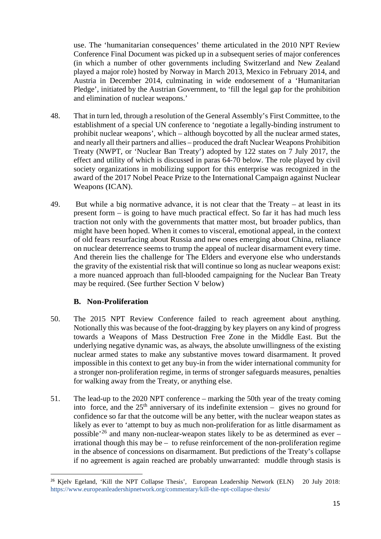use. The 'humanitarian consequences' theme articulated in the 2010 NPT Review Conference Final Document was picked up in a subsequent series of major conferences (in which a number of other governments including Switzerland and New Zealand played a major role) hosted by Norway in March 2013, Mexico in February 2014, and Austria in December 2014, culminating in wide endorsement of a 'Humanitarian Pledge', initiated by the [Austrian](https://en.wikipedia.org/wiki/Government_of_Austria) Government, to 'fill the legal gap for the prohibition and elimination of nuclear weapons.'

- 48. That in turn led, through a resolution of the General Assembly's First Committee, to the establishment of a special UN conference to 'negotiate a legally-binding instrument to prohibit nuclear weapons', which – although boycotted by all the nuclear armed states, and nearly all their partners and allies – produced the draft Nuclear Weapons Prohibition Treaty (NWPT, or 'Nuclear Ban Treaty') adopted by 122 states on 7 July 2017, the effect and utility of which is discussed in paras 64-70 below. The role played by civil society organizations in mobilizing support for this enterprise was recognized in the award of the 2017 Nobel Peace Prize to the International Campaign against Nuclear Weapons (ICAN).
- 49. But while a big normative advance, it is not clear that the Treaty at least in its present form – is going to have much practical effect. So far it has had much less traction not only with the governments that matter most, but broader publics, than might have been hoped. When it comes to visceral, emotional appeal, in the context of old fears resurfacing about Russia and new ones emerging about China, reliance on nuclear deterrence seems to trump the appeal of nuclear disarmament every time. And therein lies the challenge for The Elders and everyone else who understands the gravity of the existential risk that will continue so long as nuclear weapons exist: a more nuanced approach than full-blooded campaigning for the Nuclear Ban Treaty may be required. (See further Section V below)

#### **B. Non-Proliferation**

- 50. The 2015 NPT Review Conference failed to reach agreement about anything. Notionally this was because of the foot-dragging by key players on any kind of progress towards a Weapons of Mass Destruction Free Zone in the Middle East. But the underlying negative dynamic was, as always, the absolute unwillingness of the existing nuclear armed states to make any substantive moves toward disarmament. It proved impossible in this context to get any buy-in from the wider international community for a stronger non-proliferation regime, in terms of stronger safeguards measures, penalties for walking away from the Treaty, or anything else.
- 51. The lead-up to the 2020 NPT conference marking the 50th year of the treaty coming into force, and the  $25<sup>th</sup>$  anniversary of its indefinite extension – gives no ground for confidence so far that the outcome will be any better, with the nuclear weapon states as likely as ever to 'attempt to buy as much non-proliferation for as little disarmament as possible<sup> $26$ </sup> and many non-nuclear-weapon states likely to be as determined as ever – irrational though this may be – to refuse reinforcement of the non-proliferation regime in the absence of concessions on disarmament. But predictions of the Treaty's collapse if no agreement is again reached are probably unwarranted: muddle through stasis is

<span id="page-14-0"></span><sup>&</sup>lt;sup>26</sup> Kjelv Egeland, 'Kill the NPT Collapse Thesis', European Leadership Network (ELN) 20 July 2018: <https://www.europeanleadershipnetwork.org/commentary/kill-the-npt-collapse-thesis/>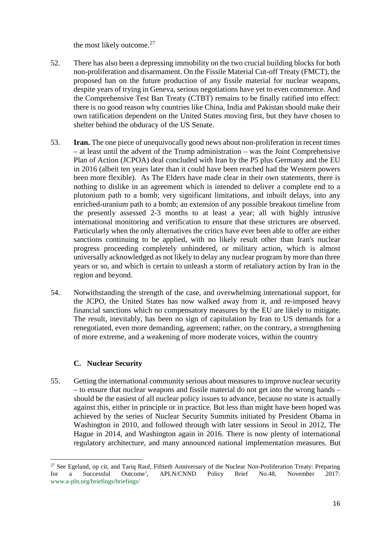the most likely outcome.<sup>[27](#page-15-0)</sup>

- 52. There has also been a depressing immobility on the two crucial building blocks for both non-proliferation and disarmament. On the Fissile Material Cut-off Treaty (FMCT), the proposed ban on the future production of any fissile material for nuclear weapons, despite years of trying in Geneva, serious negotiations have yet to even commence. And the Comprehensive Test Ban Treaty (CTBT) remains to be finally ratified into effect: there is no good reason why countries like China, India and Pakistan should make their own ratification dependent on the United States moving first, but they have chosen to shelter behind the obduracy of the US Senate.
- 53. **Iran.** The one piece of unequivocally good news about non-proliferation in recent times – at least until the advent of the Trump administration – was the Joint Comprehensive Plan of Action (JCPOA) deal concluded with Iran by the P5 plus Germany and the EU in 2016 (albeit ten years later than it could have been reached had the Western powers been more flexible). As The Elders have made clear in their own statements, there is nothing to dislike in an agreement which is intended to deliver a complete end to a plutonium path to a bomb; very significant limitations, and inbuilt delays, into any enriched-uranium path to a bomb; an extension of any possible breakout timeline from the presently assessed 2-3 months to at least a year; all with highly intrusive international monitoring and verification to ensure that these strictures are observed. Particularly when the only alternatives the critics have ever been able to offer are either sanctions continuing to be applied, with no likely result other than Iran's nuclear progress proceeding completely unhindered, or military action, which is almost universally acknowledged as not likely to delay any nuclear program by more than three years or so, and which is certain to unleash a storm of retaliatory action by Iran in the region and beyond.
- 54. Notwithstanding the strength of the case, and overwhelming international support, for the JCPO, the United States has now walked away from it, and re-imposed heavy financial sanctions which no compensatory measures by the EU are likely to mitigate. The result, inevitably, has been no sign of capitulation by Iran to US demands for a renegotiated, even more demanding, agreement; rather, on the contrary, a strengthening of more extreme, and a weakening of more moderate voices, within the country

#### **C. Nuclear Security**

<u>.</u>

55. Getting the international community serious about measures to improve nuclear security – to ensure that nuclear weapons and fissile material do not get into the wrong hands – should be the easiest of all nuclear policy issues to advance, because no state is actually against this, either in principle or in practice. But less than might have been hoped was achieved by the series of Nuclear Security Summits initiated by President Obama in Washington in 2010, and followed through with later sessions in Seoul in 2012, The Hague in 2014, and Washington again in 2016. There is now plenty of international regulatory architecture, and many announced national implementation measures. But

<span id="page-15-0"></span><sup>&</sup>lt;sup>27</sup> See Egeland, op cit, and Tariq Rauf, Fiftieth Anniversary of the Nuclear Non-Proliferation Treaty: Preparing for a Successful Outcome', APLN/CNND Policy Brief No.48, November 2017: www.a-pln.org/briefings/briefings/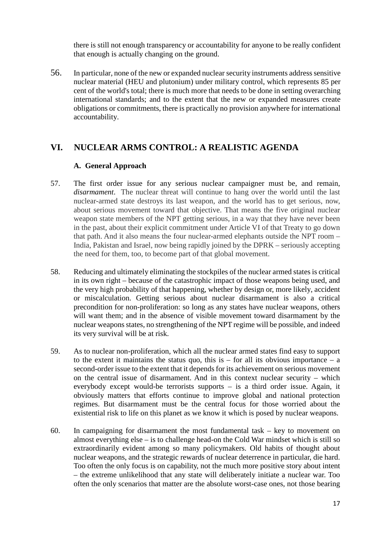there is still not enough transparency or accountability for anyone to be really confident that enough is actually changing on the ground.

56. In particular, none of the new or expanded nuclear security instruments address sensitive nuclear material (HEU and plutonium) under military control, which represents 85 per cent of the world's total; there is much more that needs to be done in setting overarching international standards; and to the extent that the new or expanded measures create obligations or commitments, there is practically no provision anywhere for international accountability.

### **VI. NUCLEAR ARMS CONTROL: A REALISTIC AGENDA**

#### **A. General Approach**

- 57. The first order issue for any serious nuclear campaigner must be, and remain*, disarmament*. The nuclear threat will continue to hang over the world until the last nuclear-armed state destroys its last weapon, and the world has to get serious, now, about serious movement toward that objective. That means the five original nuclear weapon state members of the NPT getting serious, in a way that they have never been in the past, about their explicit commitment under Article VI of that Treaty to go down that path. And it also means the four nuclear-armed elephants outside the NPT room – India, Pakistan and Israel, now being rapidly joined by the DPRK – seriously accepting the need for them, too, to become part of that global movement.
- 58. Reducing and ultimately eliminating the stockpiles of the nuclear armed states is critical in its own right – because of the catastrophic impact of those weapons being used, and the very high probability of that happening, whether by design or, more likely, accident or miscalculation. Getting serious about nuclear disarmament is also a critical precondition for non-proliferation: so long as any states have nuclear weapons, others will want them; and in the absence of visible movement toward disarmament by the nuclear weapons states, no strengthening of the NPT regime will be possible, and indeed its very survival will be at risk.
- 59. As to nuclear non-proliferation, which all the nuclear armed states find easy to support to the extent it maintains the status quo, this is  $-$  for all its obvious importance  $-$  a second-order issue to the extent that it depends for its achievement on serious movement on the central issue of disarmament. And in this context nuclear security – which everybody except would-be terrorists supports – is a third order issue. Again, it obviously matters that efforts continue to improve global and national protection regimes. But disarmament must be the central focus for those worried about the existential risk to life on this planet as we know it which is posed by nuclear weapons.
- 60. In campaigning for disarmament the most fundamental task key to movement on almost everything else – is to challenge head-on the Cold War mindset which is still so extraordinarily evident among so many policymakers. Old habits of thought about nuclear weapons, and the strategic rewards of nuclear deterrence in particular, die hard. Too often the only focus is on capability, not the much more positive story about intent – the extreme unlikelihood that any state will deliberately initiate a nuclear war. Too often the only scenarios that matter are the absolute worst-case ones, not those bearing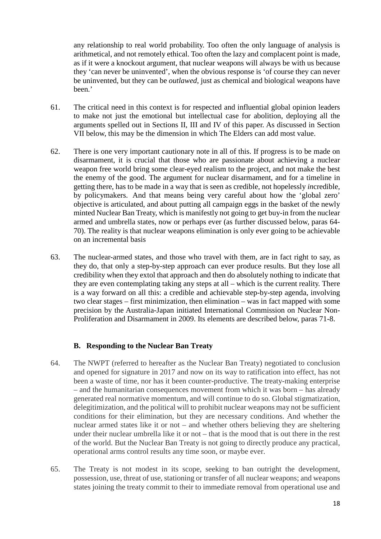any relationship to real world probability. Too often the only language of analysis is arithmetical, and not remotely ethical. Too often the lazy and complacent point is made, as if it were a knockout argument, that nuclear weapons will always be with us because they 'can never be uninvented', when the obvious response is 'of course they can never be uninvented, but they can be *outlawed*, just as chemical and biological weapons have been.'

- 61. The critical need in this context is for respected and influential global opinion leaders to make not just the emotional but intellectual case for abolition, deploying all the arguments spelled out in Sections II, III and IV of this paper. As discussed in Section VII below, this may be the dimension in which The Elders can add most value.
- 62. There is one very important cautionary note in all of this. If progress is to be made on disarmament, it is crucial that those who are passionate about achieving a nuclear weapon free world bring some clear-eyed realism to the project, and not make the best the enemy of the good. The argument for nuclear disarmament, and for a timeline in getting there, has to be made in a way that is seen as credible, not hopelessly *in*credible, by policymakers. And that means being very careful about how the 'global zero' objective is articulated, and about putting all campaign eggs in the basket of the newly minted Nuclear Ban Treaty, which is manifestly not going to get buy-in from the nuclear armed and umbrella states, now or perhaps ever (as further discussed below, paras 64- 70). The reality is that nuclear weapons elimination is only ever going to be achievable on an incremental basis
- 63. The nuclear-armed states, and those who travel with them, are in fact right to say, as they do, that only a step-by-step approach can ever produce results. But they lose all credibility when they extol that approach and then do absolutely nothing to indicate that they are even contemplating taking any steps at all – which is the current reality. There is a way forward on all this: a credible and achievable step-by-step agenda, involving two clear stages – first minimization, then elimination – was in fact mapped with some precision by the Australia-Japan initiated International Commission on Nuclear Non-Proliferation and Disarmament in 2009. Its elements are described below, paras 71-8.

#### **B. Responding to the Nuclear Ban Treaty**

- 64. The NWPT (referred to hereafter as the Nuclear Ban Treaty) negotiated to conclusion and opened for signature in 2017 and now on its way to ratification into effect, has not been a waste of time, nor has it been counter-productive. The treaty-making enterprise – and the humanitarian consequences movement from which it was born – has already generated real normative momentum, and will continue to do so. Global stigmatization, delegitimization, and the political will to prohibit nuclear weapons may not be sufficient conditions for their elimination, but they are necessary conditions. And whether the nuclear armed states like it or not – and whether others believing they are sheltering under their nuclear umbrella like it or not – that is the mood that is out there in the rest of the world. But the Nuclear Ban Treaty is not going to directly produce any practical, operational arms control results any time soon, or maybe ever.
- 65. The Treaty is not modest in its scope, seeking to ban outright the development, possession, use, threat of use, stationing or transfer of all nuclear weapons; and weapons states joining the treaty commit to their to immediate removal from operational use and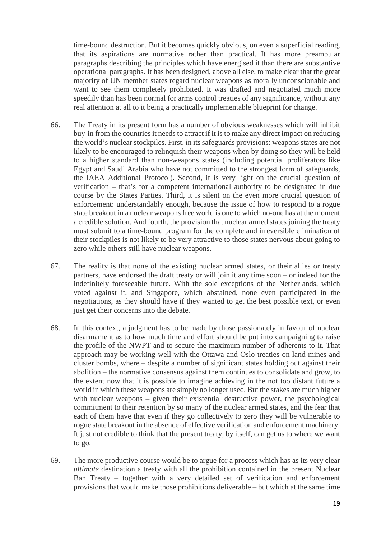time-bound destruction. But it becomes quickly obvious, on even a superficial reading, that its aspirations are normative rather than practical. It has more preambular paragraphs describing the principles which have energised it than there are substantive operational paragraphs. It has been designed, above all else, to make clear that the great majority of UN member states regard nuclear weapons as morally unconscionable and want to see them completely prohibited. It was drafted and negotiated much more speedily than has been normal for arms control treaties of any significance, without any real attention at all to it being a practically implementable blueprint for change.

- 66. The Treaty in its present form has a number of obvious weaknesses which will inhibit buy-in from the countries it needs to attract if it is to make any direct impact on reducing the world's nuclear stockpiles. First, in its safeguards provisions: weapons states are not likely to be encouraged to relinquish their weapons when by doing so they will be held to a higher standard than non-weapons states (including potential proliferators like Egypt and Saudi Arabia who have not committed to the strongest form of safeguards, the IAEA Additional Protocol). Second, it is very light on the crucial question of verification – that's for a competent international authority to be designated in due course by the States Parties. Third, it is silent on the even more crucial question of enforcement: understandably enough, because the issue of how to respond to a rogue state breakout in a nuclear weapons free world is one to which no-one has at the moment a credible solution. And fourth, the provision that nuclear armed states joining the treaty must submit to a time-bound program for the complete and irreversible elimination of their stockpiles is not likely to be very attractive to those states nervous about going to zero while others still have nuclear weapons.
- 67. The reality is that none of the existing nuclear armed states, or their allies or treaty partners, have endorsed the draft treaty or will join it any time soon – or indeed for the indefinitely foreseeable future. With the sole exceptions of the Netherlands, which voted against it, and Singapore, which abstained, none even participated in the negotiations, as they should have if they wanted to get the best possible text, or even just get their concerns into the debate.
- 68. In this context, a judgment has to be made by those passionately in favour of nuclear disarmament as to how much time and effort should be put into campaigning to raise the profile of the NWPT and to secure the maximum number of adherents to it. That approach may be working well with the Ottawa and Oslo treaties on land mines and cluster bombs, where – despite a number of significant states holding out against their abolition – the normative consensus against them continues to consolidate and grow, to the extent now that it is possible to imagine achieving in the not too distant future a world in which these weapons are simply no longer used. But the stakes are much higher with nuclear weapons – given their existential destructive power, the psychological commitment to their retention by so many of the nuclear armed states, and the fear that each of them have that even if they go collectively to zero they will be vulnerable to rogue state breakout in the absence of effective verification and enforcement machinery. It just not credible to think that the present treaty, by itself, can get us to where we want to go.
- 69. The more productive course would be to argue for a process which has as its very clear *ultimate* destination a treaty with all the prohibition contained in the present Nuclear Ban Treaty – together with a very detailed set of verification and enforcement provisions that would make those prohibitions deliverable – but which at the same time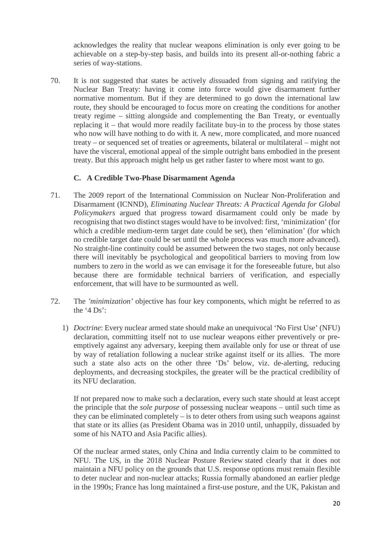acknowledges the reality that nuclear weapons elimination is only ever going to be achievable on a step-by-step basis, and builds into its present all-or-nothing fabric a series of way-stations.

70. It is not suggested that states be actively *dis*suaded from signing and ratifying the Nuclear Ban Treaty: having it come into force would give disarmament further normative momentum. But if they are determined to go down the international law route, they should be encouraged to focus more on creating the conditions for another treaty regime – sitting alongside and complementing the Ban Treaty, or eventually replacing it – that would more readily facilitate buy-in to the process by those states who now will have nothing to do with it. A new, more complicated, and more nuanced treaty – or sequenced set of treaties or agreements, bilateral or multilateral – might not have the visceral, emotional appeal of the simple outright bans embodied in the present treaty. But this approach might help us get rather faster to where most want to go.

#### **C. A Credible Two-Phase Disarmament Agenda**

- 71. The 2009 report of the International Commission on Nuclear Non-Proliferation and Disarmament (ICNND), *Eliminating Nuclear Threats: A Practical Agenda for Global Policymakers* argued that progress toward disarmament could only be made by recognising that two distinct stages would have to be involved: first, 'minimization' (for which a credible medium-term target date could be set), then 'elimination' (for which no credible target date could be set until the whole process was much more advanced). No straight-line continuity could be assumed between the two stages, not only because there will inevitably be psychological and geopolitical barriers to moving from low numbers to zero in the world as we can envisage it for the foreseeable future, but also because there are formidable technical barriers of verification, and especially enforcement, that will have to be surmounted as well.
- 72. The *'minimization'* objective has four key components, which might be referred to as the '4  $Ds$ ':
	- 1) *Doctrine*: Every nuclear armed state should make an unequivocal 'No First Use' (NFU) declaration, committing itself not to use nuclear weapons either preventively or preemptively against any adversary, keeping them available only for use or threat of use by way of retaliation following a nuclear strike against itself or its allies. The more such a state also acts on the other three 'Ds' below, viz. de-alerting, reducing deployments, and decreasing stockpiles, the greater will be the practical credibility of its NFU declaration.

If not prepared now to make such a declaration, every such state should at least accept the principle that the *sole purpose* of possessing nuclear weapons – until such time as they can be eliminated completely – is to deter others from using such weapons against that state or its allies (as President Obama was in 2010 until, unhappily, dissuaded by some of his NATO and Asia Pacific allies).

Of the nuclear armed states, only China and India currently claim to be committed to NFU. The US, in the [2018 Nuclear Posture Review](https://fas.org/wp-content/uploads/media/2018-Nuclear-Posture-Review-Version-2.pdf) stated clearly that it does not maintain a NFU policy on the grounds that U.S. response options must remain flexible to deter nuclear and non-nuclear attacks; Russia formally abandoned an earlier pledge in the 1990s; France has long maintained a first-use posture, and the UK, Pakistan and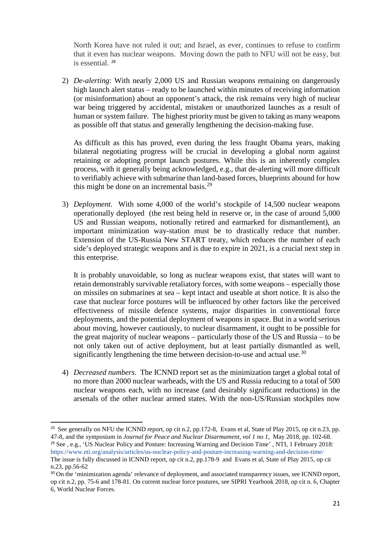North Korea have not ruled it out; and Israel, as ever, continues to refuse to confirm that it even has nuclear weapons. Moving down the path to NFU will not be easy, but is essential. [28](#page-20-0)

2) *De-alerting*: With nearly 2,000 US and Russian weapons remaining on dangerously high launch alert status – ready to be launched within minutes of receiving information (or misinformation) about an opponent's attack, the risk remains very high of nuclear war being triggered by accidental, mistaken or unauthorized launches as a result of human or system failure. The highest priority must be given to taking as many weapons as possible off that status and generally lengthening the decision-making fuse.

As difficult as this has proved, even during the less fraught Obama years, making bilateral negotiating progress will be crucial in developing a global norm against retaining or adopting prompt launch postures. While this is an inherently complex process, with it generally being acknowledged, e.g., that de-alerting will more difficult to verifiably achieve with submarine than land-based forces, blueprints abound for how this might be done on an incremental basis.<sup>[29](#page-20-1)</sup>

3) *Deployment.* With some 4,000 of the world's stockpile of 14,500 nuclear weapons operationally deployed (the rest being held in reserve or, in the case of around 5,000 US and Russian weapons, notionally retired and earmarked for dismantlement), an important minimization way-station must be to drastically reduce that number. Extension of the US-Russia New START treaty, which reduces the number of each side's deployed strategic weapons and is due to expire in 2021, is a crucial next step in this enterprise.

It is probably unavoidable, so long as nuclear weapons exist, that states will want to retain demonstrably survivable retaliatory forces, with some weapons – especially those on missiles on submarines at sea – kept intact and useable at short notice. It is also the case that nuclear force postures will be influenced by other factors like the perceived effectiveness of missile defence systems, major disparities in conventional force deployments, and the potential deployment of weapons in space. But in a world serious about moving, however cautiously, to nuclear disarmament, it ought to be possible for the great majority of nuclear weapons – particularly those of the US and Russia – to be not only taken out of active deployment, but at least partially dismantled as well, significantly lengthening the time between decision-to-use and actual use.<sup>[30](#page-20-2)</sup>

4) *Decreased numbers*. The ICNND report set as the minimization target a global total of no more than 2000 nuclear warheads, with the US and Russia reducing to a total of 500 nuclear weapons each, with no increase (and desirably significant reductions) in the arsenals of the other nuclear armed states. With the non-US/Russian stockpiles now

**.** 

<span id="page-20-0"></span><sup>&</sup>lt;sup>28</sup> See generally on NFU the ICNND report, op cit n.2, pp.172-8, Evans et al, State of Play 2015, op cit n.23, pp. 47-8, and the symposium in *Journal for Peace and Nuclear Disarmament, vol 1 no 1,* May 2018, pp. 102-68.

<span id="page-20-1"></span><sup>&</sup>lt;sup>29</sup> See , e.g., 'US Nuclear Policy and Posture: Increasing Warning and Decision Time', NTI, 1 February 2018: <https://www.nti.org/analysis/articles/us-nuclear-policy-and-posture-increasing-warning-and-decision-time/> The issue is fully discussed in ICNND report, op cit n.2, pp.178-9 and Evans et al, State of Play 2015, op cit

n.23, pp.56-62

<span id="page-20-2"></span><sup>&</sup>lt;sup>30</sup> On the 'minimization agenda' relevance of deployment, and associated transparency issues, see ICNND report, op cit n.2, pp. 75-6 and 178-81. On current nuclear force postures, see SIPRI Yearbook 2018, op cit n. 6, Chapter 6, World Nuclear Forces.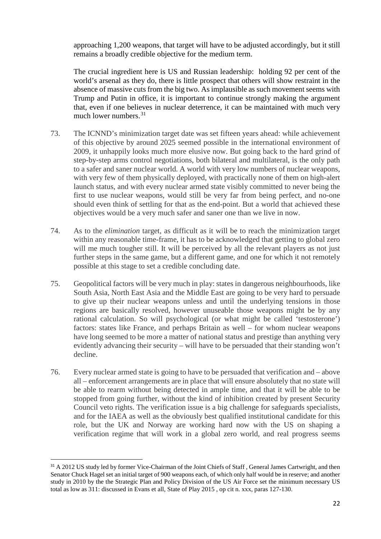approaching 1,200 weapons, that target will have to be adjusted accordingly, but it still remains a broadly credible objective for the medium term.

The crucial ingredient here is US and Russian leadership: holding 92 per cent of the world's arsenal as they do, there is little prospect that others will show restraint in the absence of massive cuts from the big two. As implausible as such movement seems with Trump and Putin in office, it is important to continue strongly making the argument that, even if one believes in nuclear deterrence, it can be maintained with much very much lower numbers. $31$ 

- 73. The ICNND's minimization target date was set fifteen years ahead: while achievement of this objective by around 2025 seemed possible in the international environment of 2009, it unhappily looks much more elusive now. But going back to the hard grind of step-by-step arms control negotiations, both bilateral and multilateral, is the only path to a safer and saner nuclear world. A world with very low numbers of nuclear weapons, with very few of them physically deployed, with practically none of them on high-alert launch status, and with every nuclear armed state visibly committed to never being the first to use nuclear weapons, would still be very far from being perfect, and no-one should even think of settling for that as the end-point. But a world that achieved these objectives would be a very much safer and saner one than we live in now.
- 74. As to the *elimination* target, as difficult as it will be to reach the minimization target within any reasonable time-frame, it has to be acknowledged that getting to global zero will me much tougher still. It will be perceived by all the relevant players as not just further steps in the same game, but a different game, and one for which it not remotely possible at this stage to set a credible concluding date.
- 75. Geopolitical factors will be very much in play: states in dangerous neighbourhoods, like South Asia, North East Asia and the Middle East are going to be very hard to persuade to give up their nuclear weapons unless and until the underlying tensions in those regions are basically resolved, however unuseable those weapons might be by any rational calculation. So will psychological (or what might be called 'testosterone') factors: states like France, and perhaps Britain as well – for whom nuclear weapons have long seemed to be more a matter of national status and prestige than anything very evidently advancing their security – will have to be persuaded that their standing won't decline.
- 76. Every nuclear armed state is going to have to be persuaded that verification and above all – enforcement arrangements are in place that will ensure absolutely that no state will be able to rearm without being detected in ample time, and that it will be able to be stopped from going further, without the kind of inhibition created by present Security Council veto rights. The verification issue is a big challenge for safeguards specialists, and for the IAEA as well as the obviously best qualified institutional candidate for this role, but the UK and Norway are working hard now with the US on shaping a verification regime that will work in a global zero world, and real progress seems

<span id="page-21-0"></span><sup>&</sup>lt;sup>31</sup> A 2012 US study led by former Vice-Chairman of the Joint Chiefs of Staff, General James Cartwright, and then Senator Chuck Hagel set an initial target of 900 weapons each, of which only half would be in reserve; and another study in 2010 by the the Strategic Plan and Policy Division of the US Air Force set the minimum necessary US total as low as 311: discussed in Evans et all, State of Play 2015 , op cit n. xxx, paras 127-130.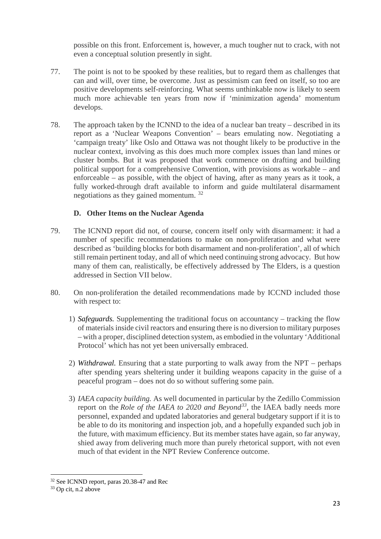possible on this front. Enforcement is, however, a much tougher nut to crack, with not even a conceptual solution presently in sight.

- 77. The point is not to be spooked by these realities, but to regard them as challenges that can and will, over time, be overcome. Just as pessimism can feed on itself, so too are positive developments self-reinforcing. What seems unthinkable now is likely to seem much more achievable ten years from now if 'minimization agenda' momentum develops.
- 78. The approach taken by the ICNND to the idea of a nuclear ban treaty described in its report as a 'Nuclear Weapons Convention' – bears emulating now. Negotiating a 'campaign treaty' like Oslo and Ottawa was not thought likely to be productive in the nuclear context, involving as this does much more complex issues than land mines or cluster bombs. But it was proposed that work commence on drafting and building political support for a comprehensive Convention, with provisions as workable – and enforceable – as possible, with the object of having, after as many years as it took, a fully worked-through draft available to inform and guide multilateral disarmament negotiations as they gained momentum. [32](#page-22-0)

#### **D. Other Items on the Nuclear Agenda**

- 79. The ICNND report did not, of course, concern itself only with disarmament: it had a number of specific recommendations to make on non-proliferation and what were described as 'building blocks for both disarmament and non-proliferation', all of which still remain pertinent today, and all of which need continuing strong advocacy. But how many of them can, realistically, be effectively addressed by The Elders, is a question addressed in Section VII below.
- 80. On non-proliferation the detailed recommendations made by ICCND included those with respect to:
	- 1) *Safeguards.* Supplementing the traditional focus on accountancy tracking the flow of materials inside civil reactors and ensuring there is no diversion to military purposes – with a proper, disciplined detection system, as embodied in the voluntary 'Additional Protocol' which has not yet been universally embraced.
	- 2) *Withdrawal.* Ensuring that a state purporting to walk away from the NPT perhaps after spending years sheltering under it building weapons capacity in the guise of a peaceful program – does not do so without suffering some pain.
	- 3) *IAEA capacity building.* As well documented in particular by the Zedillo Commission report on the *Role of the IAEA to 2020 and Beyond[33,](#page-22-1)* the IAEA badly needs more personnel, expanded and updated laboratories and general budgetary support if it is to be able to do its monitoring and inspection job, and a hopefully expanded such job in the future, with maximum efficiency. But its member states have again, so far anyway, shied away from delivering much more than purely rhetorical support, with not even much of that evident in the NPT Review Conference outcome.

<u>.</u>

<span id="page-22-0"></span><sup>&</sup>lt;sup>32</sup> See ICNND report, paras 20.38-47 and Rec <sup>33</sup> Op cit, n.2 above

<span id="page-22-1"></span>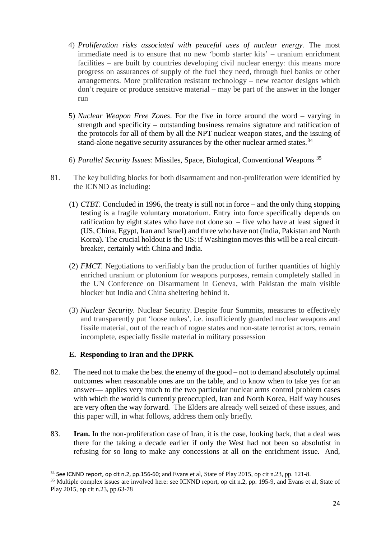- 4) *Proliferation risks associated with peaceful uses of nuclear energy.* The most immediate need is to ensure that no new 'bomb starter kits' – uranium enrichment facilities – are built by countries developing civil nuclear energy: this means more progress on assurances of supply of the fuel they need, through fuel banks or other arrangements. More proliferation resistant technology – new reactor designs which don't require or produce sensitive material – may be part of the answer in the longer run
- 5) *Nuclear Weapon Free Zones*. For the five in force around the word varying in strength and specificity – outstanding business remains signature and ratification of the protocols for all of them by all the NPT nuclear weapon states, and the issuing of stand-alone negative security assurances by the other nuclear armed states.<sup>[34](#page-23-0)</sup>
- 6) *Parallel Security Issues*: Missiles, Space, Biological, Conventional Weapons [35](#page-23-1)
- 81. The key building blocks for both disarmament and non-proliferation were identified by the ICNND as including:
	- (1) *CTBT.* Concluded in 1996, the treaty is still not in force and the only thing stopping testing is a fragile voluntary moratorium. Entry into force specifically depends on ratification by eight states who have not done so – five who have at least signed it (US, China, Egypt, Iran and Israel) and three who have not (India, Pakistan and North Korea). The crucial holdout is the US: if Washington moves this will be a real circuitbreaker, certainly with China and India.
	- (2) *FMCT.* Negotiations to verifiably ban the production of further quantities of highly enriched uranium or plutonium for weapons purposes, remain completely stalled in the UN Conference on Disarmament in Geneva, with Pakistan the main visible blocker but India and China sheltering behind it.
	- (3) *Nuclear Security.* Nuclear Security. Despite four Summits, measures to effectively and transparent[y put 'loose nukes', i.e. insufficiently guarded nuclear weapons and fissile material, out of the reach of rogue states and non-state terrorist actors, remain incomplete, especially fissile material in military possession

#### **E. Responding to Iran and the DPRK**

- 82. The need not to make the best the enemy of the good not to demand absolutely optimal outcomes when reasonable ones are on the table, and to know when to take yes for an answer— applies very much to the two particular nuclear arms control problem cases with which the world is currently preoccupied, Iran and North Korea, Half way houses are very often the way forward. The Elders are already well seized of these issues, and this paper will, in what follows, address them only briefly.
- 83. **Iran.** In the non-proliferation case of Iran*,* it is the case, looking back, that a deal was there for the taking a decade earlier if only the West had not been so absolutist in refusing for so long to make any concessions at all on the enrichment issue. And,

<span id="page-23-0"></span><sup>&</sup>lt;sup>34</sup> See ICNND report, op cit n.2, pp.156-60; and Evans et al, State of Play 2015, op cit n.23, pp. 121-8.

<span id="page-23-1"></span><sup>35</sup> Multiple complex issues are involved here: see ICNND report, op cit n.2, pp. 195-9, and Evans et al, State of Play 2015, op cit n.23, pp.63-78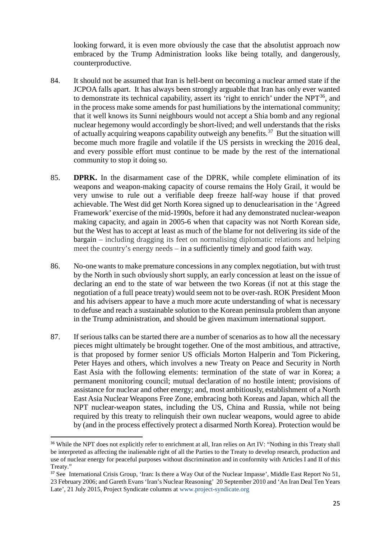looking forward, it is even more obviously the case that the absolutist approach now embraced by the Trump Administration looks like being totally, and dangerously, counterproductive.

- 84. It should not be assumed that Iran is hell-bent on becoming a nuclear armed state if the JCPOA falls apart. It has always been strongly arguable that Iran has only ever wanted to demonstrate its technical capability, assert its 'right to enrich' under the  $NPT<sup>36</sup>$  $NPT<sup>36</sup>$  $NPT<sup>36</sup>$ , and in the process make some amends for past humiliations by the international community; that it well knows its Sunni neighbours would not accept a Shia bomb and any regional nuclear hegemony would accordingly be short-lived; and well understands that the risks of actually acquiring weapons capability outweigh any benefits.<sup>[37](#page-24-1)</sup> But the situation will become much more fragile and volatile if the US persists in wrecking the 2016 deal, and every possible effort must continue to be made by the rest of the international community to stop it doing so.
- 85. **DPRK.** In the disarmament case of the DPRK, while complete elimination of its weapons and weapon-making capacity of course remains the Holy Grail, it would be very unwise to rule out a verifiable deep freeze half-way house if that proved achievable. The West did get North Korea signed up to denuclearisation in the 'Agreed Framework' exercise of the mid-1990s, before it had any demonstrated nuclear-weapon making capacity, and again in 2005-6 when that capacity was not North Korean side, but the West has to accept at least as much of the blame for not delivering its side of the bargain – including dragging its feet on normalising diplomatic relations and helping meet the country's energy needs – in a sufficiently timely and good faith way.
- 86. No-one wants to make premature concessions in any complex negotiation, but with trust by the North in such obviously short supply, an early concession at least on the issue of declaring an end to the state of war between the two Koreas (if not at this stage the negotiation of a full peace treaty) would seem not to be over-rash. ROK President Moon and his advisers appear to have a much more acute understanding of what is necessary to defuse and reach a sustainable solution to the Korean peninsula problem than anyone in the Trump administration, and should be given maximum international support.
- 87. If serious talks can be started there are a number of scenarios as to how all the necessary pieces might ultimately be brought together. One of the most ambitious, and attractive, is that proposed by former senior US officials Morton Halperin and Tom Pickering, Peter Hayes and others, which involves a new Treaty on Peace and Security in North East Asia with the following elements: termination of the state of war in Korea; a permanent monitoring council; mutual declaration of no hostile intent; provisions of assistance for nuclear and other energy; and, most ambitiously, establishment of a North East Asia Nuclear Weapons Free Zone, embracing both Koreas and Japan, which all the NPT nuclear-weapon states, including the US, China and Russia, while not being required by this treaty to relinquish their own nuclear weapons, would agree to abide by (and in the process effectively protect a disarmed North Korea). Protection would be

<span id="page-24-0"></span><sup>&</sup>lt;sup>36</sup> While the NPT does not explicitly refer to enrichment at all, Iran relies on Art IV: "Nothing in this Treaty shall be interpreted as affecting the inalienable right of all the Parties to the Treaty to develop research, production and use of nuclear energy for peaceful purposes without discrimination and in conformity with Articles I and II of this Treaty."

<span id="page-24-1"></span><sup>&</sup>lt;sup>37</sup> See International Crisis Group, 'Iran: Is there a Way Out of the Nuclear Impasse', Middle East Report No 51, 23 February 2006; and Gareth Evans 'Iran's Nuclear Reasoning' 20 September 2010 and 'An Iran Deal Ten Years Late', 21 July 2015, Project Syndicate columns a[t www.project-syndicate.org](http://www.project-syndicate.org/)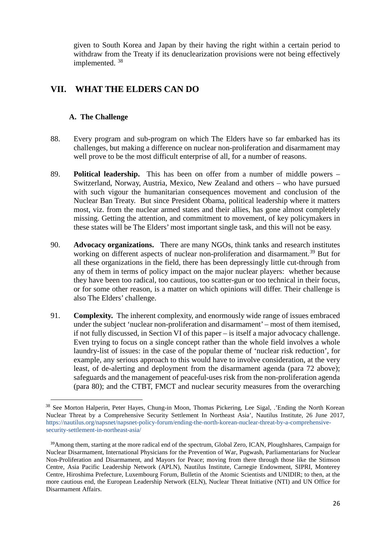given to South Korea and Japan by their having the right within a certain period to withdraw from the Treaty if its denuclearization provisions were not being effectively implemented. [38](#page-25-0)

### **VII. WHAT THE ELDERS CAN DO**

#### **A. The Challenge**

**.** 

- 88. Every program and sub-program on which The Elders have so far embarked has its challenges, but making a difference on nuclear non-proliferation and disarmament may well prove to be the most difficult enterprise of all, for a number of reasons.
- 89. **Political leadership.** This has been on offer from a number of middle powers Switzerland, Norway, Austria, Mexico, New Zealand and others – who have pursued with such vigour the humanitarian consequences movement and conclusion of the Nuclear Ban Treaty. But since President Obama, political leadership where it matters most, viz. from the nuclear armed states and their allies, has gone almost completely missing. Getting the attention, and commitment to movement, of key policymakers in these states will be The Elders' most important single task, and this will not be easy.
- 90. **Advocacy organizations.** There are many NGOs, think tanks and research institutes working on different aspects of nuclear non-proliferation and disarmament.<sup>[39](#page-25-1)</sup> But for all these organizations in the field, there has been depressingly little cut-through from any of them in terms of policy impact on the major nuclear players: whether because they have been too radical, too cautious, too scatter-gun or too technical in their focus, or for some other reason, is a matter on which opinions will differ. Their challenge is also The Elders' challenge.
- 91. **Complexity.** The inherent complexity, and enormously wide range of issues embraced under the subject 'nuclear non-proliferation and disarmament' – most of them itemised, if not fully discussed, in Section VI of this paper – is itself a major advocacy challenge. Even trying to focus on a single concept rather than the whole field involves a whole laundry-list of issues: in the case of the popular theme of 'nuclear risk reduction', for example, any serious approach to this would have to involve consideration, at the very least, of de-alerting and deployment from the disarmament agenda (para 72 above); safeguards and the management of peaceful-uses risk from the non-proliferation agenda (para 80); and the CTBT, FMCT and nuclear security measures from the overarching

<span id="page-25-0"></span><sup>&</sup>lt;sup>38</sup> See Morton Halperin, Peter Hayes, Chung-in Moon, Thomas Pickering, Lee Sigal, .'Ending the North Korean Nuclear Threat by a Comprehensive Security Settlement In Northeast Asia', Nautilus Institute, 26 June 2017, [https://nautilus.org/napsnet/napsnet-policy-forum/ending-the-north-korean-nuclear-threat-by-a-comprehensive](https://nautilus.org/napsnet/napsnet-policy-forum/ending-the-north-korean-nuclear-threat-by-a-comprehensive-security-settlement-in-northeast-asia/)[security-settlement-in-northeast-asia/](https://nautilus.org/napsnet/napsnet-policy-forum/ending-the-north-korean-nuclear-threat-by-a-comprehensive-security-settlement-in-northeast-asia/)

<span id="page-25-1"></span><sup>39</sup>Among them, starting at the more radical end of the spectrum, Global Zero, ICAN, Ploughshares, Campaign for Nuclear Disarmament, International Physicians for the Prevention of War, Pugwash, Parliamentarians for Nuclear Non-Proliferation and Disarmament, and Mayors for Peace; moving from there through those like the Stimson Centre, Asia Pacific Leadership Network (APLN), Nautilus Institute, Carnegie Endowment, SIPRI, Monterey Centre, Hiroshima Prefecture, Luxembourg Forum, Bulletin of the Atomic Scientists and UNIDIR; to then, at the more cautious end, the European Leadership Network (ELN), Nuclear Threat Initiative (NTI) and UN Office for Disarmament Affairs.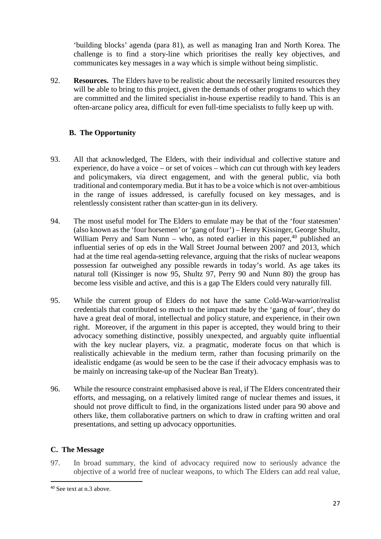'building blocks' agenda (para 81), as well as managing Iran and North Korea. The challenge is to find a story-line which prioritises the really key objectives, and communicates key messages in a way which is simple without being simplistic.

92. **Resources.** The Elders have to be realistic about the necessarily limited resources they will be able to bring to this project, given the demands of other programs to which they are committed and the limited specialist in-house expertise readily to hand. This is an often-arcane policy area, difficult for even full-time specialists to fully keep up with.

#### **B. The Opportunity**

- 93. All that acknowledged, The Elders, with their individual and collective stature and experience, do have a voice – or set of voices – which *can* cut through with key leaders and policymakers, via direct engagement, and with the general public, via both traditional and contemporary media. But it has to be a voice which is not over-ambitious in the range of issues addressed, is carefully focused on key messages, and is relentlessly consistent rather than scatter-gun in its delivery.
- 94. The most useful model for The Elders to emulate may be that of the 'four statesmen' (also known as the 'four horsemen' or 'gang of four') – Henry Kissinger, George Shultz, William Perry and Sam Nunn – who, as noted earlier in this paper,  $40$  published an influential series of op eds in the Wall Street Journal between 2007 and 2013, which had at the time real agenda-setting relevance, arguing that the risks of nuclear weapons possession far outweighed any possible rewards in today's world. As age takes its natural toll (Kissinger is now 95, Shultz 97, Perry 90 and Nunn 80) the group has become less visible and active, and this is a gap The Elders could very naturally fill.
- 95. While the current group of Elders do not have the same Cold-War-warrior/realist credentials that contributed so much to the impact made by the 'gang of four', they do have a great deal of moral, intellectual and policy stature, and experience, in their own right. Moreover, if the argument in this paper is accepted, they would bring to their advocacy something distinctive, possibly unexpected, and arguably quite influential with the key nuclear players, viz. a pragmatic, moderate focus on that which is realistically achievable in the medium term, rather than focusing primarily on the idealistic endgame (as would be seen to be the case if their advocacy emphasis was to be mainly on increasing take-up of the Nuclear Ban Treaty).
- 96. While the resource constraint emphasised above is real, if The Elders concentrated their efforts, and messaging, on a relatively limited range of nuclear themes and issues, it should not prove difficult to find, in the organizations listed under para 90 above and others like, them collaborative partners on which to draw in crafting written and oral presentations, and setting up advocacy opportunities.

#### **C. The Message**

97. In broad summary, the kind of advocacy required now to seriously advance the objective of a world free of nuclear weapons, to which The Elders can add real value,

<span id="page-26-0"></span> <sup>40</sup> See text at n.3 above.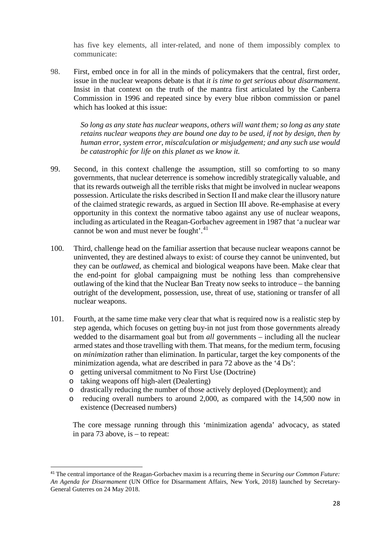has five key elements, all inter-related, and none of them impossibly complex to communicate:

98. First, embed once in for all in the minds of policymakers that the central, first order, issue in the nuclear weapons debate is that *it is time to get serious about disarmament*. Insist in that context on the truth of the mantra first articulated by the Canberra Commission in 1996 and repeated since by every blue ribbon commission or panel which has looked at this issue:

> *So long as any state has nuclear weapons, others will want them; so long as any state retains nuclear weapons they are bound one day to be used, if not by design, then by human error, system error, miscalculation or misjudgement; and any such use would be catastrophic for life on this planet as we know it.*

- 99. Second, in this context challenge the assumption, still so comforting to so many governments, that nuclear deterrence is somehow incredibly strategically valuable, and that its rewards outweigh all the terrible risks that might be involved in nuclear weapons possession. Articulate the risks described in Section II and make clear the illusory nature of the claimed strategic rewards, as argued in Section III above. Re-emphasise at every opportunity in this context the normative taboo against any use of nuclear weapons, including as articulated in the Reagan-Gorbachev agreement in 1987 that 'a nuclear war cannot be won and must never be fought'.<sup>[41](#page-27-0)</sup>
- 100. Third, challenge head on the familiar assertion that because nuclear weapons cannot be uninvented, they are destined always to exist: of course they cannot be uninvented, but they can be *outlawed*, as chemical and biological weapons have been. Make clear that the end-point for global campaigning must be nothing less than comprehensive outlawing of the kind that the Nuclear Ban Treaty now seeks to introduce – the banning outright of the development, possession, use, threat of use, stationing or transfer of all nuclear weapons.
- 101. Fourth, at the same time make very clear that what is required now is a realistic step by step agenda, which focuses on getting buy-in not just from those governments already wedded to the disarmament goal but from *all* governments – including all the nuclear armed states and those travelling with them. That means, for the medium term, focusing on *minimization* rather than elimination. In particular, target the key components of the minimization agenda, what are described in para 72 above as the '4 Ds':
	- o getting universal commitment to No First Use (Doctrine)
	- o taking weapons off high-alert (Dealerting)
	- o drastically reducing the number of those actively deployed (Deployment); and
	- o reducing overall numbers to around 2,000, as compared with the 14,500 now in existence (Decreased numbers)

 The core message running through this 'minimization agenda' advocacy, as stated in para 73 above, is – to repeat:

<span id="page-27-0"></span> <sup>41</sup> The central importance of the Reagan-Gorbachev maxim is a recurring theme in *Securing our Common Future: An Agenda for Disarmament* (UN Office for Disarmament Affairs, New York, 2018) launched by Secretary-General Guterres on 24 May 2018.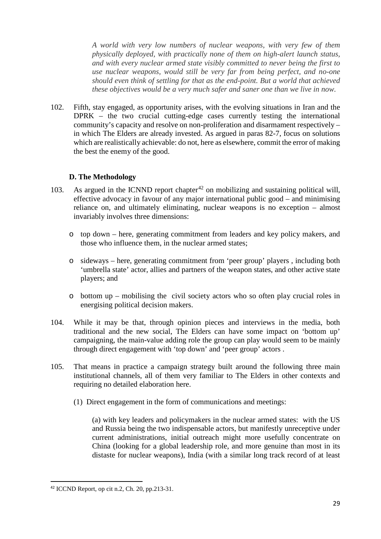*A world with very low numbers of nuclear weapons, with very few of them physically deployed, with practically none of them on high-alert launch status, and with every nuclear armed state visibly committed to never being the first to use nuclear weapons, would still be very far from being perfect, and no-one should even think of settling for that as the end-point. But a world that achieved these objectives would be a very much safer and saner one than we live in now.*

102. Fifth, stay engaged, as opportunity arises, with the evolving situations in Iran and the DPRK – the two crucial cutting-edge cases currently testing the international community's capacity and resolve on non-proliferation and disarmament respectively – in which The Elders are already invested. As argued in paras 82-7, focus on solutions which are realistically achievable: do not, here as elsewhere, commit the error of making the best the enemy of the good.

#### **D. The Methodology**

- 103. As argued in the ICNND report chapter<sup>[42](#page-28-0)</sup> on mobilizing and sustaining political will, effective advocacy in favour of any major international public good – and minimising reliance on, and ultimately eliminating, nuclear weapons is no exception – almost invariably involves three dimensions:
	- o top down here, generating commitment from leaders and key policy makers, and those who influence them, in the nuclear armed states;
	- o sideways here, generating commitment from 'peer group' players , including both 'umbrella state' actor, allies and partners of the weapon states, and other active state players; and
	- o bottom up mobilising the civil society actors who so often play crucial roles in energising political decision makers.
- 104. While it may be that, through opinion pieces and interviews in the media, both traditional and the new social, The Elders can have some impact on 'bottom up' campaigning, the main-value adding role the group can play would seem to be mainly through direct engagement with 'top down' and 'peer group' actors .
- 105. That means in practice a campaign strategy built around the following three main institutional channels, all of them very familiar to The Elders in other contexts and requiring no detailed elaboration here.
	- (1) Direct engagement in the form of communications and meetings:

(a) with key leaders and policymakers in the nuclear armed states: with the US and Russia being the two indispensable actors, but manifestly unreceptive under current administrations, initial outreach might more usefully concentrate on China (looking for a global leadership role, and more genuine than most in its distaste for nuclear weapons), India (with a similar long track record of at least

<span id="page-28-0"></span> <sup>42</sup> ICCND Report, op cit n.2, Ch. 20, pp.213-31.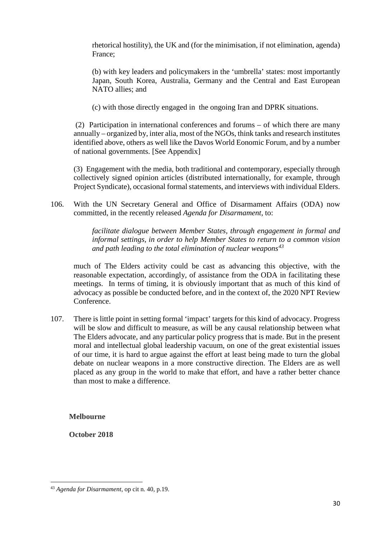rhetorical hostility), the UK and (for the minimisation, if not elimination, agenda) France;

(b) with key leaders and policymakers in the 'umbrella' states: most importantly Japan, South Korea, Australia, Germany and the Central and East European NATO allies; and

(c) with those directly engaged in the ongoing Iran and DPRK situations.

(2) Participation in international conferences and forums – of which there are many annually – organized by, inter alia, most of the NGOs, think tanks and research institutes identified above, others as well like the Davos World Eonomic Forum, and by a number of national governments. [See Appendix]

(3) Engagement with the media, both traditional and contemporary, especially through collectively signed opinion articles (distributed internationally, for example, through Project Syndicate), occasional formal statements, and interviews with individual Elders.

106. With the UN Secretary General and Office of Disarmament Affairs (ODA) now committed, in the recently released *Agenda for Disarmament*, to:

> *facilitate dialogue between Member States, through engagement in formal and informal settings, in order to help Member States to return to a common vision and path leading to the total elimination of nuclear weapons[43](#page-29-0)*

much of The Elders activity could be cast as advancing this objective, with the reasonable expectation, accordingly, of assistance from the ODA in facilitating these meetings. In terms of timing, it is obviously important that as much of this kind of advocacy as possible be conducted before, and in the context of, the 2020 NPT Review Conference.

107. There is little point in setting formal 'impact' targets for this kind of advocacy. Progress will be slow and difficult to measure, as will be any causal relationship between what The Elders advocate, and any particular policy progress that is made. But in the present moral and intellectual global leadership vacuum, on one of the great existential issues of our time, it is hard to argue against the effort at least being made to turn the global debate on nuclear weapons in a more constructive direction. The Elders are as well placed as any group in the world to make that effort, and have a rather better chance than most to make a difference.

**Melbourne**

**October 2018**

<span id="page-29-0"></span>**<sup>.</sup>** <sup>43</sup> *Agenda for Disarmament*, op cit n. 40, p.19.